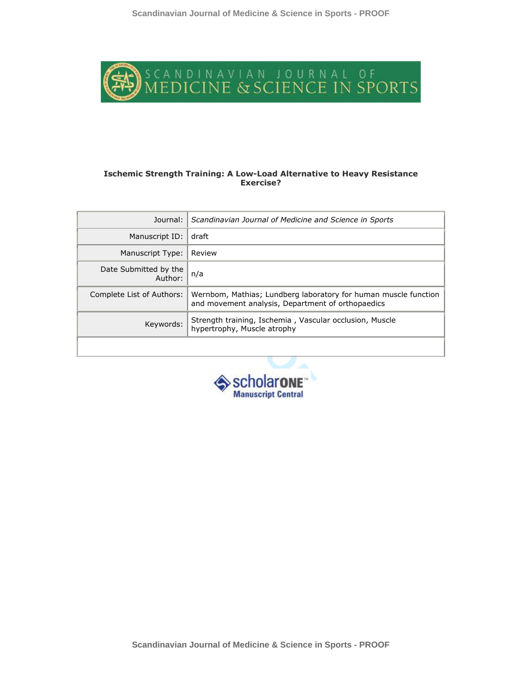

#### **Ischemic Strength Training: A Low-Load Alternative to Heavy Resistance Exercise?**

| Journal:                         | Scandinavian Journal of Medicine and Science in Sports                                                               |
|----------------------------------|----------------------------------------------------------------------------------------------------------------------|
| Manuscript ID:                   | draft                                                                                                                |
| Manuscript Type:                 | Review                                                                                                               |
| Date Submitted by the<br>Author: | n/a                                                                                                                  |
| Complete List of Authors:        | Wernbom, Mathias; Lundberg laboratory for human muscle function<br>and movement analysis, Department of orthopaedics |
| Keywords:                        | Strength training, Ischemia, Vascular occlusion, Muscle<br>hypertrophy, Muscle atrophy                               |
|                                  |                                                                                                                      |

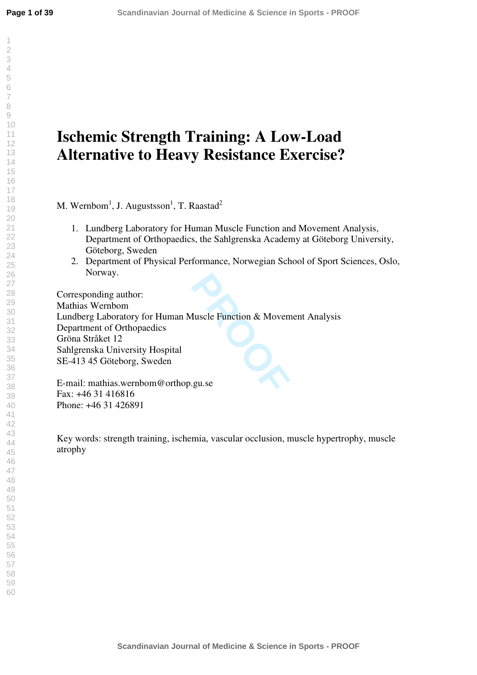# **Ischemic Strength Training: A Low-Load Alternative to Heavy Resistance Exercise?**

M. Wernbom<sup>1</sup>, J. Augustsson<sup>1</sup>, T. Raastad<sup>2</sup>

- 1. Lundberg Laboratory for Human Muscle Function and Movement Analysis, Department of Orthopaedics, the Sahlgrenska Academy at Göteborg University, Göteborg, Sweden
- 2. Department of Physical Performance, Norwegian School of Sport Sciences, Oslo, Norway.

**PROOF**<br> **PROPERTY ASSESS**<br> **PROPERTY**<br> **PROPERTY**<br> **PROPERTY**<br> **PROPERTY**<br> **PROPERTY**<br> **PROPERTY** Corresponding author: Mathias Wernbom Lundberg Laboratory for Human Muscle Function & Movement Analysis Department of Orthopaedics Gröna Stråket 12 Sahlgrenska University Hospital SE-413 45 Göteborg, Sweden

E-mail: mathias.wernbom@orthop.gu.se Fax: +46 31 416816 Phone: +46 31 426891

Key words: strength training, ischemia, vascular occlusion, muscle hypertrophy, muscle atrophy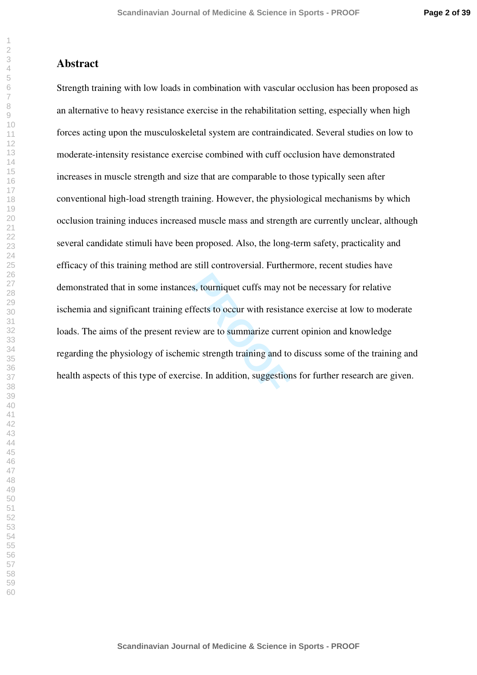## **Abstract**

**PROOF**<br>**PROOF**<br>**PROOF**<br>**PROOF**<br>**PROOF**<br>**PROOF**<br>**PROOF**<br>**PROOF**<br>**PROOF**<br>**PROOF**<br>**PROOF**<br>**PROOF**<br>**PROOF**<br>**PROOF**<br>**PROOF**<br>**PROOF**<br>**PROOF**<br>**PROOF**<br>**PROOF**<br>**PROOF**<br>**PROOF**<br>**PROOF**<br>**PROOF**<br>**PROOF**<br>**PROOF**<br>**PROOF**<br>**PROOF**<br>**PROOF** Strength training with low loads in combination with vascular occlusion has been proposed as an alternative to heavy resistance exercise in the rehabilitation setting, especially when high forces acting upon the musculoskeletal system are contraindicated. Several studies on low to moderate-intensity resistance exercise combined with cuff occlusion have demonstrated increases in muscle strength and size that are comparable to those typically seen after conventional high-load strength training. However, the physiological mechanisms by which occlusion training induces increased muscle mass and strength are currently unclear, although several candidate stimuli have been proposed. Also, the long-term safety, practicality and efficacy of this training method are still controversial. Furthermore, recent studies have demonstrated that in some instances, tourniquet cuffs may not be necessary for relative ischemia and significant training effects to occur with resistance exercise at low to moderate loads. The aims of the present review are to summarize current opinion and knowledge regarding the physiology of ischemic strength training and to discuss some of the training and health aspects of this type of exercise. In addition, suggestions for further research are given.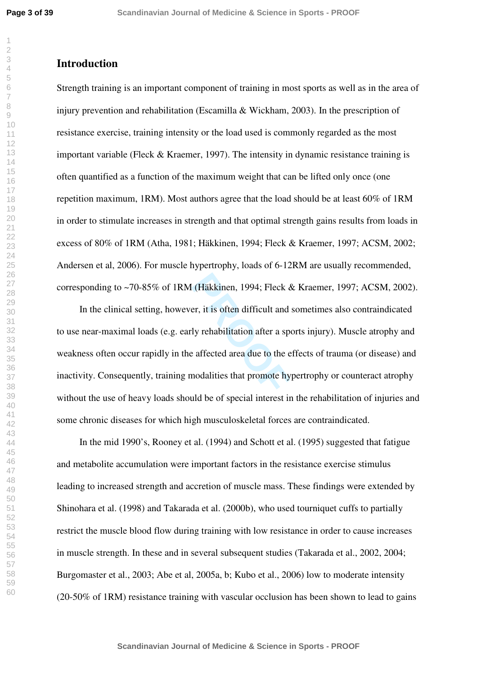# **Introduction**

Strength training is an important component of training in most sports as well as in the area of injury prevention and rehabilitation (Escamilla & Wickham, 2003). In the prescription of resistance exercise, training intensity or the load used is commonly regarded as the most important variable (Fleck & Kraemer, 1997). The intensity in dynamic resistance training is often quantified as a function of the maximum weight that can be lifted only once (one repetition maximum, 1RM). Most authors agree that the load should be at least 60% of 1RM in order to stimulate increases in strength and that optimal strength gains results from loads in excess of 80% of 1RM (Atha, 1981; Häkkinen, 1994; Fleck & Kraemer, 1997; ACSM, 2002; Andersen et al, 2006). For muscle hypertrophy, loads of 6-12RM are usually recommended, corresponding to ~70-85% of 1RM (Häkkinen, 1994; Fleck & Kraemer, 1997; ACSM, 2002).

(Häkkinen, 1994; Fleck  $\&$ <br>er, it is often difficult and<br>ly rehabilitation after a spe<br>affected area due to the e<br>modalities that promote hy In the clinical setting, however, it is often difficult and sometimes also contraindicated to use near-maximal loads (e.g. early rehabilitation after a sports injury). Muscle atrophy and weakness often occur rapidly in the affected area due to the effects of trauma (or disease) and inactivity. Consequently, training modalities that promote hypertrophy or counteract atrophy without the use of heavy loads should be of special interest in the rehabilitation of injuries and some chronic diseases for which high musculoskeletal forces are contraindicated.

In the mid 1990's, Rooney et al. (1994) and Schott et al. (1995) suggested that fatigue and metabolite accumulation were important factors in the resistance exercise stimulus leading to increased strength and accretion of muscle mass. These findings were extended by Shinohara et al. (1998) and Takarada et al. (2000b), who used tourniquet cuffs to partially restrict the muscle blood flow during training with low resistance in order to cause increases in muscle strength. In these and in several subsequent studies (Takarada et al., 2002, 2004; Burgomaster et al., 2003; Abe et al, 2005a, b; Kubo et al., 2006) low to moderate intensity (20-50% of 1RM) resistance training with vascular occlusion has been shown to lead to gains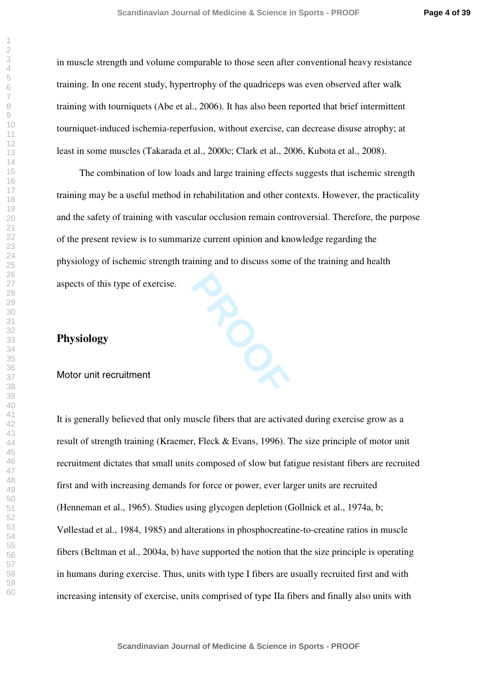in muscle strength and volume comparable to those seen after conventional heavy resistance training. In one recent study, hypertrophy of the quadriceps was even observed after walk training with tourniquets (Abe et al., 2006). It has also been reported that brief intermittent tourniquet-induced ischemia-reperfusion, without exercise, can decrease disuse atrophy; at least in some muscles (Takarada et al., 2000c; Clark et al., 2006, Kubota et al., 2008).

The combination of low loads and large training effects suggests that ischemic strength training may be a useful method in rehabilitation and other contexts. However, the practicality and the safety of training with vascular occlusion remain controversial. Therefore, the purpose of the present review is to summarize current opinion and knowledge regarding the physiology of ischemic strength training and to discuss some of the training and health aspects of this type of exercise.

## **Physiology**

## Motor unit recruitment

It is generally believed that only muscle fibers that are activated during exercise grow as a result of strength training (Kraemer, Fleck & Evans, 1996). The size principle of motor unit recruitment dictates that small units composed of slow but fatigue resistant fibers are recruited first and with increasing demands for force or power, ever larger units are recruited (Henneman et al., 1965). Studies using glycogen depletion (Gollnick et al., 1974a, b; Vøllestad et al., 1984, 1985) and alterations in phosphocreatine-to-creatine ratios in muscle fibers (Beltman et al., 2004a, b) have supported the notion that the size principle is operating in humans during exercise. Thus, units with type I fibers are usually recruited first and with increasing intensity of exercise, units comprised of type IIa fibers and finally also units with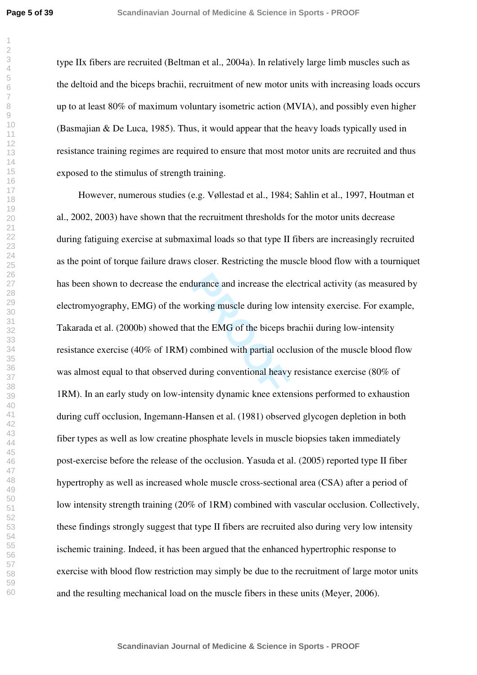type IIx fibers are recruited (Beltman et al., 2004a). In relatively large limb muscles such as the deltoid and the biceps brachii, recruitment of new motor units with increasing loads occurs up to at least 80% of maximum voluntary isometric action (MVIA), and possibly even higher (Basmajian & De Luca, 1985). Thus, it would appear that the heavy loads typically used in resistance training regimes are required to ensure that most motor units are recruited and thus exposed to the stimulus of strength training.

durance and increase the electrical<br>privation muscle during low<br>to the EMG of the biceps b<br>combined with partial occle<br>during conventional heavy<br>ensity dynamic knee extern However, numerous studies (e.g. Vøllestad et al., 1984; Sahlin et al., 1997, Houtman et al., 2002, 2003) have shown that the recruitment thresholds for the motor units decrease during fatiguing exercise at submaximal loads so that type II fibers are increasingly recruited as the point of torque failure draws closer. Restricting the muscle blood flow with a tourniquet has been shown to decrease the endurance and increase the electrical activity (as measured by electromyography, EMG) of the working muscle during low intensity exercise. For example, Takarada et al. (2000b) showed that the EMG of the biceps brachii during low-intensity resistance exercise (40% of 1RM) combined with partial occlusion of the muscle blood flow was almost equal to that observed during conventional heavy resistance exercise (80% of 1RM). In an early study on low-intensity dynamic knee extensions performed to exhaustion during cuff occlusion, Ingemann-Hansen et al. (1981) observed glycogen depletion in both fiber types as well as low creatine phosphate levels in muscle biopsies taken immediately post-exercise before the release of the occlusion. Yasuda et al. (2005) reported type II fiber hypertrophy as well as increased whole muscle cross-sectional area (CSA) after a period of low intensity strength training (20% of 1RM) combined with vascular occlusion. Collectively, these findings strongly suggest that type II fibers are recruited also during very low intensity ischemic training. Indeed, it has been argued that the enhanced hypertrophic response to exercise with blood flow restriction may simply be due to the recruitment of large motor units and the resulting mechanical load on the muscle fibers in these units (Meyer, 2006).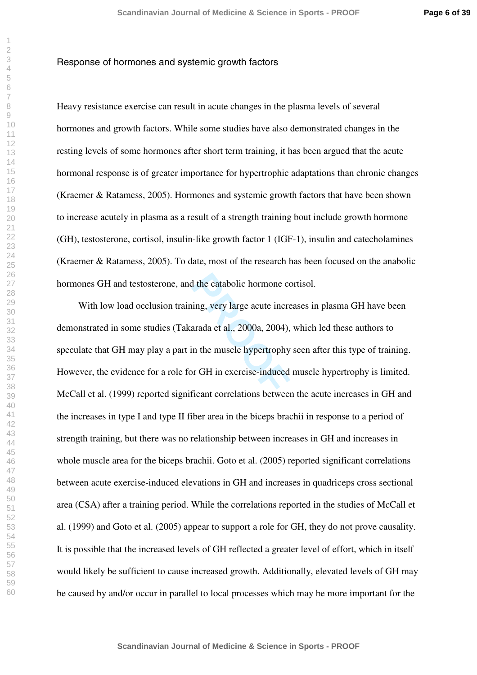#### Response of hormones and systemic growth factors

Heavy resistance exercise can result in acute changes in the plasma levels of several hormones and growth factors. While some studies have also demonstrated changes in the resting levels of some hormones after short term training, it has been argued that the acute hormonal response is of greater importance for hypertrophic adaptations than chronic changes (Kraemer & Ratamess, 2005). Hormones and systemic growth factors that have been shown to increase acutely in plasma as a result of a strength training bout include growth hormone (GH), testosterone, cortisol, insulin-like growth factor 1 (IGF-1), insulin and catecholamines (Kraemer & Ratamess, 2005). To date, most of the research has been focused on the anabolic hormones GH and testosterone, and the catabolic hormone cortisol.

<sup>1</sup> the catabolic hormone co<br>
ing, very large acute incre<br>
arada et al., 2000a, 2004),<br>
in the muscle hypertrophy<br>
or GH in exercise-induced<br>
ficant correlations between With low load occlusion training, very large acute increases in plasma GH have been demonstrated in some studies (Takarada et al., 2000a, 2004), which led these authors to speculate that GH may play a part in the muscle hypertrophy seen after this type of training. However, the evidence for a role for GH in exercise-induced muscle hypertrophy is limited. McCall et al. (1999) reported significant correlations between the acute increases in GH and the increases in type I and type II fiber area in the biceps brachii in response to a period of strength training, but there was no relationship between increases in GH and increases in whole muscle area for the biceps brachii. Goto et al. (2005) reported significant correlations between acute exercise-induced elevations in GH and increases in quadriceps cross sectional area (CSA) after a training period. While the correlations reported in the studies of McCall et al. (1999) and Goto et al. (2005) appear to support a role for GH, they do not prove causality. It is possible that the increased levels of GH reflected a greater level of effort, which in itself would likely be sufficient to cause increased growth. Additionally, elevated levels of GH may be caused by and/or occur in parallel to local processes which may be more important for the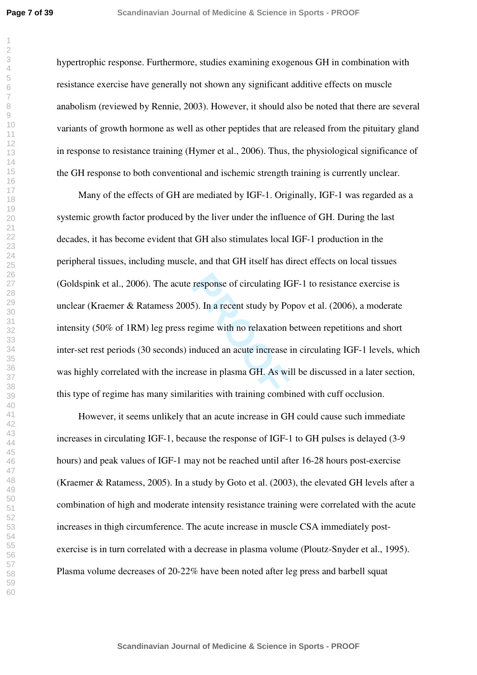hypertrophic response. Furthermore, studies examining exogenous GH in combination with resistance exercise have generally not shown any significant additive effects on muscle anabolism (reviewed by Rennie, 2003). However, it should also be noted that there are several variants of growth hormone as well as other peptides that are released from the pituitary gland in response to resistance training (Hymer et al., 2006). Thus, the physiological significance of the GH response to both conventional and ischemic strength training is currently unclear.

response of circulating IG<br>5). In a recent study by Po<br>egime with no relaxation b<br>nduced an acute increase i<br>ease in plasma GH. As wil Many of the effects of GH are mediated by IGF-1. Originally, IGF-1 was regarded as a systemic growth factor produced by the liver under the influence of GH. During the last decades, it has become evident that GH also stimulates local IGF-1 production in the peripheral tissues, including muscle, and that GH itself has direct effects on local tissues (Goldspink et al., 2006). The acute response of circulating IGF-1 to resistance exercise is unclear (Kraemer & Ratamess 2005). In a recent study by Popov et al. (2006), a moderate intensity (50% of 1RM) leg press regime with no relaxation between repetitions and short inter-set rest periods (30 seconds) induced an acute increase in circulating IGF-1 levels, which was highly correlated with the increase in plasma GH. As will be discussed in a later section, this type of regime has many similarities with training combined with cuff occlusion.

However, it seems unlikely that an acute increase in GH could cause such immediate increases in circulating IGF-1, because the response of IGF-1 to GH pulses is delayed (3-9 hours) and peak values of IGF-1 may not be reached until after 16-28 hours post-exercise (Kraemer & Ratamess, 2005). In a study by Goto et al. (2003), the elevated GH levels after a combination of high and moderate intensity resistance training were correlated with the acute increases in thigh circumference. The acute increase in muscle CSA immediately postexercise is in turn correlated with a decrease in plasma volume (Ploutz-Snyder et al., 1995). Plasma volume decreases of 20-22% have been noted after leg press and barbell squat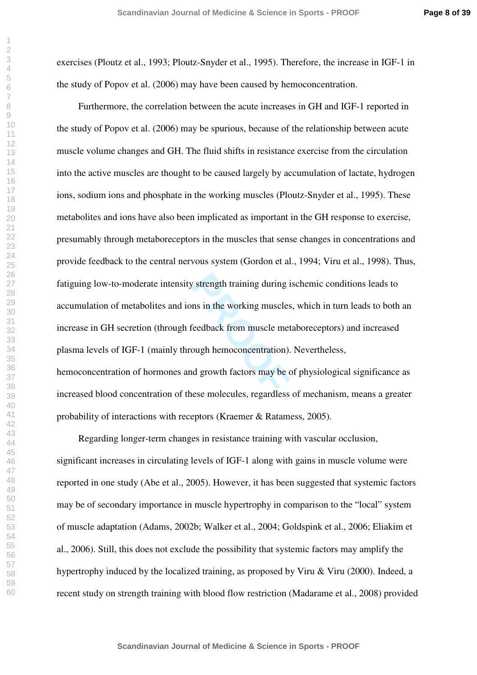exercises (Ploutz et al., 1993; Ploutz-Snyder et al., 1995). Therefore, the increase in IGF-1 in the study of Popov et al. (2006) may have been caused by hemoconcentration.

If the working during is<br>the simulation of the working muscles<br>Feedback from muscle met<br>ough hemoconcentration).<br>In a growth factors may be consequently Furthermore, the correlation between the acute increases in GH and IGF-1 reported in the study of Popov et al. (2006) may be spurious, because of the relationship between acute muscle volume changes and GH. The fluid shifts in resistance exercise from the circulation into the active muscles are thought to be caused largely by accumulation of lactate, hydrogen ions, sodium ions and phosphate in the working muscles (Ploutz-Snyder et al., 1995). These metabolites and ions have also been implicated as important in the GH response to exercise, presumably through metaboreceptors in the muscles that sense changes in concentrations and provide feedback to the central nervous system (Gordon et al., 1994; Viru et al., 1998). Thus, fatiguing low-to-moderate intensity strength training during ischemic conditions leads to accumulation of metabolites and ions in the working muscles, which in turn leads to both an increase in GH secretion (through feedback from muscle metaboreceptors) and increased plasma levels of IGF-1 (mainly through hemoconcentration). Nevertheless, hemoconcentration of hormones and growth factors may be of physiological significance as increased blood concentration of these molecules, regardless of mechanism, means a greater probability of interactions with receptors (Kraemer & Ratamess, 2005).

Regarding longer-term changes in resistance training with vascular occlusion, significant increases in circulating levels of IGF-1 along with gains in muscle volume were reported in one study (Abe et al., 2005). However, it has been suggested that systemic factors may be of secondary importance in muscle hypertrophy in comparison to the "local" system of muscle adaptation (Adams, 2002b; Walker et al., 2004; Goldspink et al., 2006; Eliakim et al., 2006). Still, this does not exclude the possibility that systemic factors may amplify the hypertrophy induced by the localized training, as proposed by Viru & Viru (2000). Indeed, a recent study on strength training with blood flow restriction (Madarame et al., 2008) provided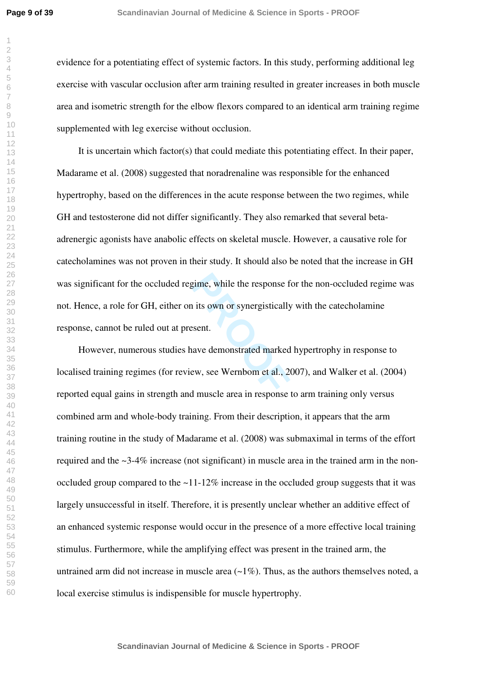**Page 9 of 39**

evidence for a potentiating effect of systemic factors. In this study, performing additional leg exercise with vascular occlusion after arm training resulted in greater increases in both muscle area and isometric strength for the elbow flexors compared to an identical arm training regime supplemented with leg exercise without occlusion.

Example 1.15 own or synergistically<br>
<u>PROOF</u><br>
PROOF<br>
RECONSTREED MAND SECTS:<br>
PROOF THE MAND SECTS AND SECTS AND SECTS ASSEMBLED FOR SECTS AND MUSCLE THE MUSCLE THAN SECTS AND MAND SECTS.<br>
PROOF THE MAND SECTS AND SECTS AS It is uncertain which factor(s) that could mediate this potentiating effect. In their paper, Madarame et al. (2008) suggested that noradrenaline was responsible for the enhanced hypertrophy, based on the differences in the acute response between the two regimes, while GH and testosterone did not differ significantly. They also remarked that several betaadrenergic agonists have anabolic effects on skeletal muscle. However, a causative role for catecholamines was not proven in their study. It should also be noted that the increase in GH was significant for the occluded regime, while the response for the non-occluded regime was not. Hence, a role for GH, either on its own or synergistically with the catecholamine response, cannot be ruled out at present.

However, numerous studies have demonstrated marked hypertrophy in response to localised training regimes (for review, see Wernbom et al., 2007), and Walker et al. (2004) reported equal gains in strength and muscle area in response to arm training only versus combined arm and whole-body training. From their description, it appears that the arm training routine in the study of Madarame et al. (2008) was submaximal in terms of the effort required and the ~3-4% increase (not significant) in muscle area in the trained arm in the nonoccluded group compared to the  $\sim$ 11-12% increase in the occluded group suggests that it was largely unsuccessful in itself. Therefore, it is presently unclear whether an additive effect of an enhanced systemic response would occur in the presence of a more effective local training stimulus. Furthermore, while the amplifying effect was present in the trained arm, the untrained arm did not increase in muscle area  $(-1\%)$ . Thus, as the authors themselves noted, a local exercise stimulus is indispensible for muscle hypertrophy.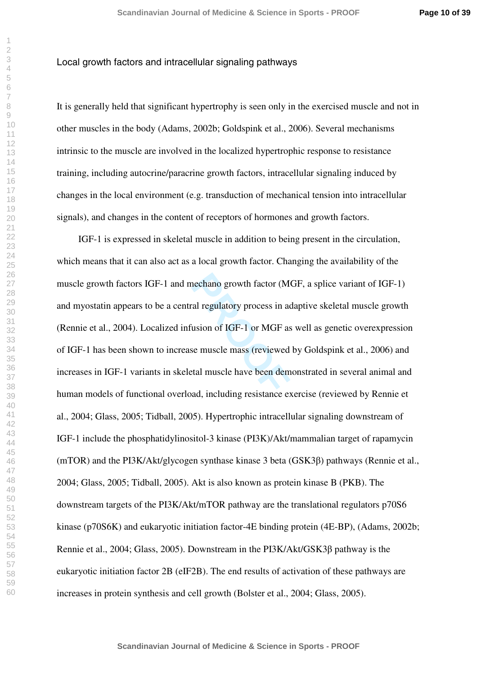**Page 10 of 39**

#### Local growth factors and intracellular signaling pathways

It is generally held that significant hypertrophy is seen only in the exercised muscle and not in other muscles in the body (Adams, 2002b; Goldspink et al., 2006). Several mechanisms intrinsic to the muscle are involved in the localized hypertrophic response to resistance training, including autocrine/paracrine growth factors, intracellular signaling induced by changes in the local environment (e.g. transduction of mechanical tension into intracellular signals), and changes in the content of receptors of hormones and growth factors.

rechano growth factor (Monde<br>
al regulatory process in advision of IGF-1 or MGF as<br>
seemuscle mass (reviewed<br>
ttal muscle have been dem IGF-1 is expressed in skeletal muscle in addition to being present in the circulation, which means that it can also act as a local growth factor. Changing the availability of the muscle growth factors IGF-1 and mechano growth factor (MGF, a splice variant of IGF-1) and myostatin appears to be a central regulatory process in adaptive skeletal muscle growth (Rennie et al., 2004). Localized infusion of IGF-1 or MGF as well as genetic overexpression of IGF-1 has been shown to increase muscle mass (reviewed by Goldspink et al., 2006) and increases in IGF-1 variants in skeletal muscle have been demonstrated in several animal and human models of functional overload, including resistance exercise (reviewed by Rennie et al., 2004; Glass, 2005; Tidball, 2005). Hypertrophic intracellular signaling downstream of IGF-1 include the phosphatidylinositol-3 kinase (PI3K)/Akt/mammalian target of rapamycin (mTOR) and the PI3K/Akt/glycogen synthase kinase 3 beta (GSK3 $\beta$ ) pathways (Rennie et al., 2004; Glass, 2005; Tidball, 2005). Akt is also known as protein kinase B (PKB). The downstream targets of the PI3K/Akt/mTOR pathway are the translational regulators p70S6 kinase (p70S6K) and eukaryotic initiation factor-4E binding protein (4E-BP), (Adams, 2002b; Rennie et al., 2004; Glass, 2005). Downstream in the PI3K/Akt/GSK3 $\beta$  pathway is the eukaryotic initiation factor 2B (eIF2B). The end results of activation of these pathways are increases in protein synthesis and cell growth (Bolster et al., 2004; Glass, 2005).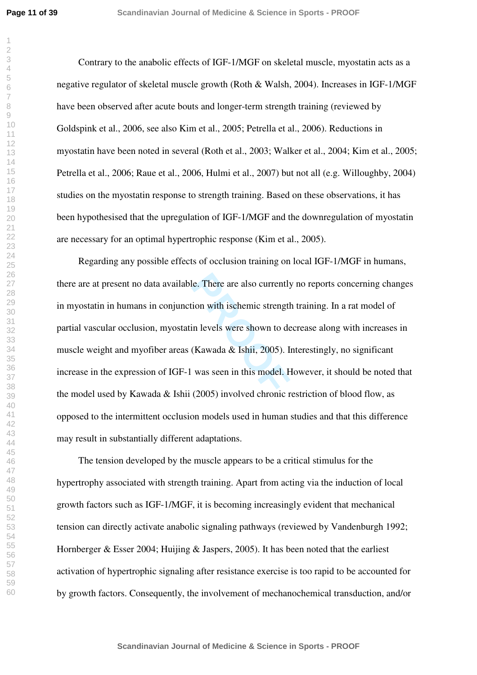Contrary to the anabolic effects of IGF-1/MGF on skeletal muscle, myostatin acts as a negative regulator of skeletal muscle growth (Roth & Walsh, 2004). Increases in IGF-1/MGF have been observed after acute bouts and longer-term strength training (reviewed by Goldspink et al., 2006, see also Kim et al., 2005; Petrella et al., 2006). Reductions in myostatin have been noted in several (Roth et al., 2003; Walker et al., 2004; Kim et al., 2005; Petrella et al., 2006; Raue et al., 2006, Hulmi et al., 2007) but not all (e.g. Willoughby, 2004) studies on the myostatin response to strength training. Based on these observations, it has been hypothesised that the upregulation of IGF-1/MGF and the downregulation of myostatin are necessary for an optimal hypertrophic response (Kim et al., 2005).

le. There are also currently<br>
ion with ischemic strength<br>
in levels were shown to de<br>
(Kawada & Ishii, 2005). In<br>
was seen in this model. H<br>
(2005) involved chronic r Regarding any possible effects of occlusion training on local IGF-1/MGF in humans, there are at present no data available. There are also currently no reports concerning changes in myostatin in humans in conjunction with ischemic strength training. In a rat model of partial vascular occlusion, myostatin levels were shown to decrease along with increases in muscle weight and myofiber areas (Kawada & Ishii, 2005). Interestingly, no significant increase in the expression of IGF-1 was seen in this model. However, it should be noted that the model used by Kawada & Ishii (2005) involved chronic restriction of blood flow, as opposed to the intermittent occlusion models used in human studies and that this difference may result in substantially different adaptations.

The tension developed by the muscle appears to be a critical stimulus for the hypertrophy associated with strength training. Apart from acting via the induction of local growth factors such as IGF-1/MGF, it is becoming increasingly evident that mechanical tension can directly activate anabolic signaling pathways (reviewed by Vandenburgh 1992; Hornberger & Esser 2004; Huijing & Jaspers, 2005). It has been noted that the earliest activation of hypertrophic signaling after resistance exercise is too rapid to be accounted for by growth factors. Consequently, the involvement of mechanochemical transduction, and/or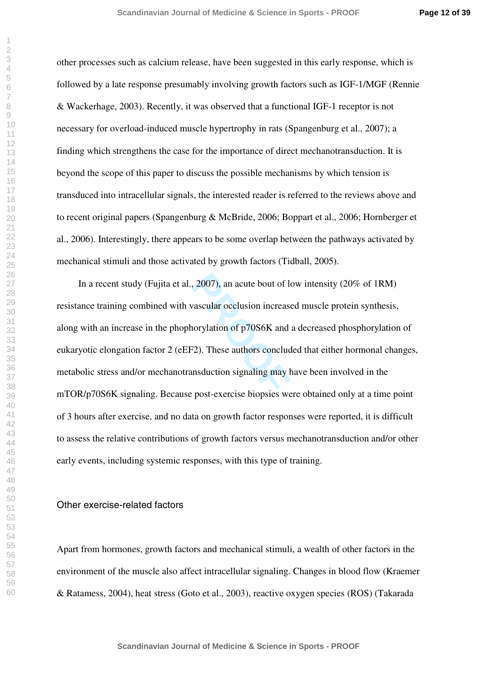other processes such as calcium release, have been suggested in this early response, which is followed by a late response presumably involving growth factors such as IGF-1/MGF (Rennie & Wackerhage, 2003). Recently, it was observed that a functional IGF-1 receptor is not necessary for overload-induced muscle hypertrophy in rats (Spangenburg et al., 2007); a finding which strengthens the case for the importance of direct mechanotransduction. It is beyond the scope of this paper to discuss the possible mechanisms by which tension is transduced into intracellular signals, the interested reader is referred to the reviews above and to recent original papers (Spangenburg & McBride, 2006; Boppart et al., 2006; Hornberger et al., 2006). Interestingly, there appears to be some overlap between the pathways activated by mechanical stimuli and those activated by growth factors (Tidball, 2005).

2007), an acute bout of loss<br>vascular occlusion increase<br>horylation of p70S6K and<br><sup>PR</sup>2). These authors conclude<br>msduction signaling may b<br>cost-exercise bionsies we In a recent study (Fujita et al., 2007), an acute bout of low intensity (20% of 1RM) resistance training combined with vascular occlusion increased muscle protein synthesis, along with an increase in the phophorylation of p70S6K and a decreased phosphorylation of eukaryotic elongation factor 2 (eEF2). These authors concluded that either hormonal changes, metabolic stress and/or mechanotransduction signaling may have been involved in the mTOR/p70S6K signaling. Because post-exercise biopsies were obtained only at a time point of 3 hours after exercise, and no data on growth factor responses were reported, it is difficult to assess the relative contributions of growth factors versus mechanotransduction and/or other early events, including systemic responses, with this type of training.

## Other exercise-related factors

Apart from hormones, growth factors and mechanical stimuli, a wealth of other factors in the environment of the muscle also affect intracellular signaling. Changes in blood flow (Kraemer & Ratamess, 2004), heat stress (Goto et al., 2003), reactive oxygen species (ROS) (Takarada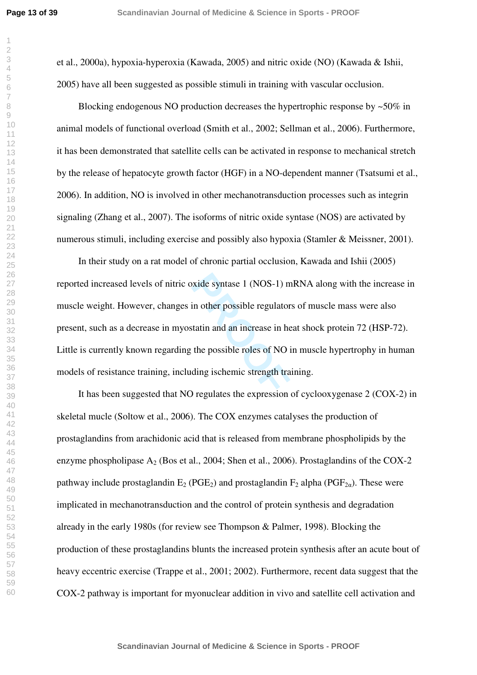et al., 2000a), hypoxia-hyperoxia (Kawada, 2005) and nitric oxide (NO) (Kawada & Ishii, 2005) have all been suggested as possible stimuli in training with vascular occlusion.

Blocking endogenous NO production decreases the hypertrophic response by ~50% in animal models of functional overload (Smith et al., 2002; Sellman et al., 2006). Furthermore, it has been demonstrated that satellite cells can be activated in response to mechanical stretch by the release of hepatocyte growth factor (HGF) in a NO-dependent manner (Tsatsumi et al., 2006). In addition, NO is involved in other mechanotransduction processes such as integrin signaling (Zhang et al., 2007). The isoforms of nitric oxide syntase (NOS) are activated by numerous stimuli, including exercise and possibly also hypoxia (Stamler & Meissner, 2001).

xide syntase 1 (NOS-1) m<br>in other possible regulator<br>tatin and an increase in he<br>the possible roles of NO i<br>ding ischemic strength tra In their study on a rat model of chronic partial occlusion, Kawada and Ishii (2005) reported increased levels of nitric oxide syntase 1 (NOS-1) mRNA along with the increase in muscle weight. However, changes in other possible regulators of muscle mass were also present, such as a decrease in myostatin and an increase in heat shock protein 72 (HSP-72). Little is currently known regarding the possible roles of NO in muscle hypertrophy in human models of resistance training, including ischemic strength training.

It has been suggested that NO regulates the expression of cyclooxygenase 2 (COX-2) in skeletal mucle (Soltow et al., 2006). The COX enzymes catalyses the production of prostaglandins from arachidonic acid that is released from membrane phospholipids by the enzyme phospholipase  $A_2$  (Bos et al., 2004; Shen et al., 2006). Prostaglandins of the COX-2 pathway include prostaglandin  $E_2$  (PGE<sub>2</sub>) and prostaglandin  $F_2$  alpha (PGF<sub>2 $\alpha$ </sub>). These were implicated in mechanotransduction and the control of protein synthesis and degradation already in the early 1980s (for review see Thompson & Palmer, 1998). Blocking the production of these prostaglandins blunts the increased protein synthesis after an acute bout of heavy eccentric exercise (Trappe et al., 2001; 2002). Furthermore, recent data suggest that the COX-2 pathway is important for myonuclear addition in vivo and satellite cell activation and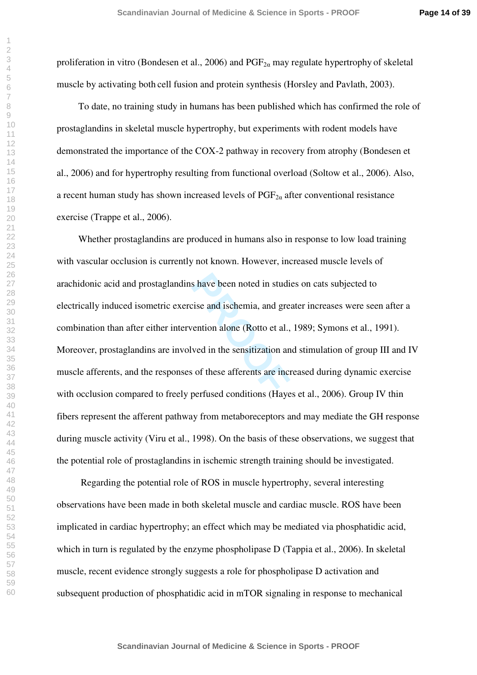**Page 14 of 39**

proliferation in vitro (Bondesen et al., 2006) and  $PGF_{2\alpha}$  may regulate hypertrophy of skeletal muscle by activating both cell fusion and protein synthesis (Horsley and Pavlath, 2003).

To date, no training study in humans has been published which has confirmed the role of prostaglandins in skeletal muscle hypertrophy, but experiments with rodent models have demonstrated the importance of the COX-2 pathway in recovery from atrophy (Bondesen et al., 2006) and for hypertrophy resulting from functional overload (Soltow et al., 2006). Also, a recent human study has shown increased levels of  $PGF_{2\alpha}$  after conventional resistance exercise (Trappe et al., 2006).

s have been noted in studion<br>
ise and ischemia, and greation<br>
vertion alone (Rotto et al.,<br>
ved in the sensitization and<br>
of these afferents are increased conditions (Have Whether prostaglandins are produced in humans also in response to low load training with vascular occlusion is currently not known. However, increased muscle levels of arachidonic acid and prostaglandins have been noted in studies on cats subjected to electrically induced isometric exercise and ischemia, and greater increases were seen after a combination than after either intervention alone (Rotto et al., 1989; Symons et al., 1991). Moreover, prostaglandins are involved in the sensitization and stimulation of group III and IV muscle afferents, and the responses of these afferents are increased during dynamic exercise with occlusion compared to freely perfused conditions (Hayes et al., 2006). Group IV thin fibers represent the afferent pathway from metaboreceptors and may mediate the GH response during muscle activity (Viru et al., 1998). On the basis of these observations, we suggest that the potential role of prostaglandins in ischemic strength training should be investigated.

 Regarding the potential role of ROS in muscle hypertrophy, several interesting observations have been made in both skeletal muscle and cardiac muscle. ROS have been implicated in cardiac hypertrophy; an effect which may be mediated via phosphatidic acid, which in turn is regulated by the enzyme phospholipase D (Tappia et al., 2006). In skeletal muscle, recent evidence strongly suggests a role for phospholipase D activation and subsequent production of phosphatidic acid in mTOR signaling in response to mechanical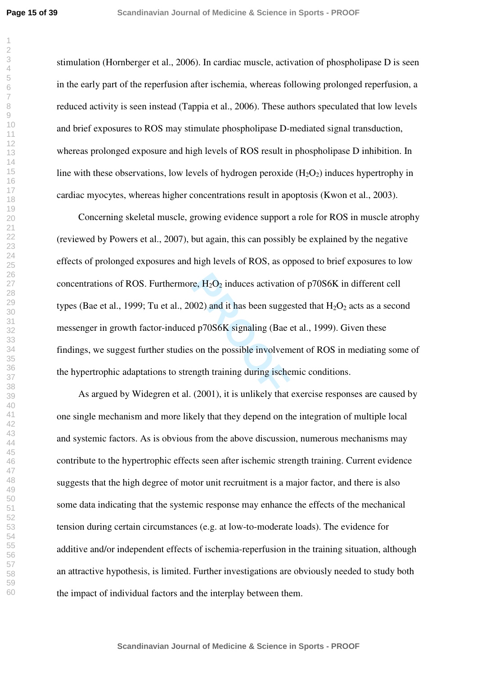stimulation (Hornberger et al., 2006). In cardiac muscle, activation of phospholipase D is seen in the early part of the reperfusion after ischemia, whereas following prolonged reperfusion, a reduced activity is seen instead (Tappia et al., 2006). These authors speculated that low levels and brief exposures to ROS may stimulate phospholipase D-mediated signal transduction, whereas prolonged exposure and high levels of ROS result in phospholipase D inhibition. In line with these observations, low levels of hydrogen peroxide  $(H_2O_2)$  induces hypertrophy in cardiac myocytes, whereas higher concentrations result in apoptosis (Kwon et al., 2003).

Fig. H<sub>2</sub>O<sub>2</sub> induces activation<br>
(1002) and it has been sugged p70S6K signaling (Bae  $\epsilon$ <br>
(3 on the possible involvem ngth training during ische Concerning skeletal muscle, growing evidence support a role for ROS in muscle atrophy (reviewed by Powers et al., 2007), but again, this can possibly be explained by the negative effects of prolonged exposures and high levels of ROS, as opposed to brief exposures to low concentrations of ROS. Furthermore,  $H_2O_2$  induces activation of p70S6K in different cell types (Bae et al., 1999; Tu et al., 2002) and it has been suggested that  $H_2O_2$  acts as a second messenger in growth factor-induced p70S6K signaling (Bae et al., 1999). Given these findings, we suggest further studies on the possible involvement of ROS in mediating some of the hypertrophic adaptations to strength training during ischemic conditions.

As argued by Widegren et al. (2001), it is unlikely that exercise responses are caused by one single mechanism and more likely that they depend on the integration of multiple local and systemic factors. As is obvious from the above discussion, numerous mechanisms may contribute to the hypertrophic effects seen after ischemic strength training. Current evidence suggests that the high degree of motor unit recruitment is a major factor, and there is also some data indicating that the systemic response may enhance the effects of the mechanical tension during certain circumstances (e.g. at low-to-moderate loads). The evidence for additive and/or independent effects of ischemia-reperfusion in the training situation, although an attractive hypothesis, is limited. Further investigations are obviously needed to study both the impact of individual factors and the interplay between them.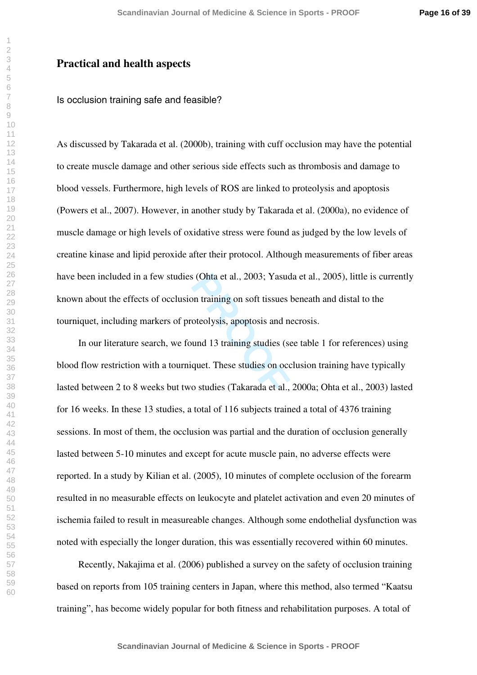## **Practical and health aspects**

## Is occlusion training safe and feasible?

As discussed by Takarada et al. (2000b), training with cuff occlusion may have the potential to create muscle damage and other serious side effects such as thrombosis and damage to blood vessels. Furthermore, high levels of ROS are linked to proteolysis and apoptosis (Powers et al., 2007). However, in another study by Takarada et al. (2000a), no evidence of muscle damage or high levels of oxidative stress were found as judged by the low levels of creatine kinase and lipid peroxide after their protocol. Although measurements of fiber areas have been included in a few studies (Ohta et al., 2003; Yasuda et al., 2005), little is currently known about the effects of occlusion training on soft tissues beneath and distal to the tourniquet, including markers of proteolysis, apoptosis and necrosis.

Fraction Coloration Control Control Control Coloration Coloration Coloration Coloration Coloration Coloration Coloration Coloration Coloration Coloration Coloration Coloration Coloration Coloration Coloration Coloration Co In our literature search, we found 13 training studies (see table 1 for references) using blood flow restriction with a tourniquet. These studies on occlusion training have typically lasted between 2 to 8 weeks but two studies (Takarada et al., 2000a; Ohta et al., 2003) lasted for 16 weeks. In these 13 studies, a total of 116 subjects trained a total of 4376 training sessions. In most of them, the occlusion was partial and the duration of occlusion generally lasted between 5-10 minutes and except for acute muscle pain, no adverse effects were reported. In a study by Kilian et al. (2005), 10 minutes of complete occlusion of the forearm resulted in no measurable effects on leukocyte and platelet activation and even 20 minutes of ischemia failed to result in measureable changes. Although some endothelial dysfunction was noted with especially the longer duration, this was essentially recovered within 60 minutes.

Recently, Nakajima et al. (2006) published a survey on the safety of occlusion training based on reports from 105 training centers in Japan, where this method, also termed "Kaatsu training", has become widely popular for both fitness and rehabilitation purposes. A total of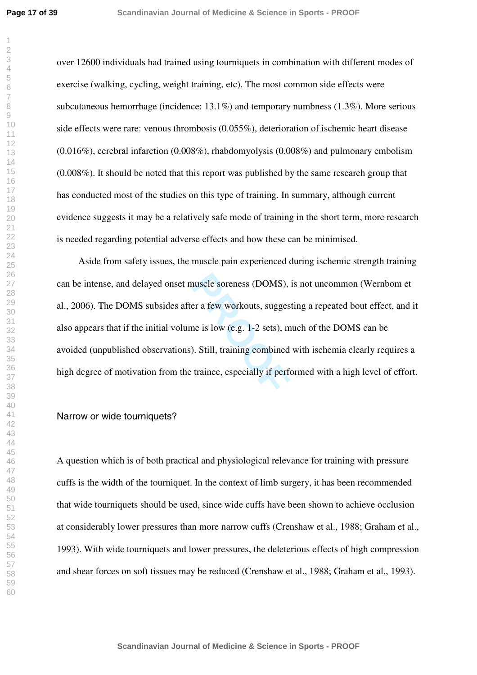over 12600 individuals had trained using tourniquets in combination with different modes of exercise (walking, cycling, weight training, etc). The most common side effects were subcutaneous hemorrhage (incidence: 13.1%) and temporary numbness (1.3%). More serious side effects were rare: venous thrombosis (0.055%), deterioration of ischemic heart disease  $(0.016\%)$ , cerebral infarction  $(0.008\%)$ , rhabdomyolysis  $(0.008\%)$  and pulmonary embolism (0.008%). It should be noted that this report was published by the same research group that has conducted most of the studies on this type of training. In summary, although current evidence suggests it may be a relatively safe mode of training in the short term, more research is needed regarding potential adverse effects and how these can be minimised.

nuscle soreness (DOMS), i<br>er a few workouts, suggest<br>ne is low (e.g. 1-2 sets), m<br>). Still, training combined<br>trainee, especially if perfo Aside from safety issues, the muscle pain experienced during ischemic strength training can be intense, and delayed onset muscle soreness (DOMS), is not uncommon (Wernbom et al., 2006). The DOMS subsides after a few workouts, suggesting a repeated bout effect, and it also appears that if the initial volume is low (e.g. 1-2 sets), much of the DOMS can be avoided (unpublished observations). Still, training combined with ischemia clearly requires a high degree of motivation from the trainee, especially if performed with a high level of effort.

#### Narrow or wide tourniquets?

A question which is of both practical and physiological relevance for training with pressure cuffs is the width of the tourniquet. In the context of limb surgery, it has been recommended that wide tourniquets should be used, since wide cuffs have been shown to achieve occlusion at considerably lower pressures than more narrow cuffs (Crenshaw et al., 1988; Graham et al., 1993). With wide tourniquets and lower pressures, the deleterious effects of high compression and shear forces on soft tissues may be reduced (Crenshaw et al., 1988; Graham et al., 1993).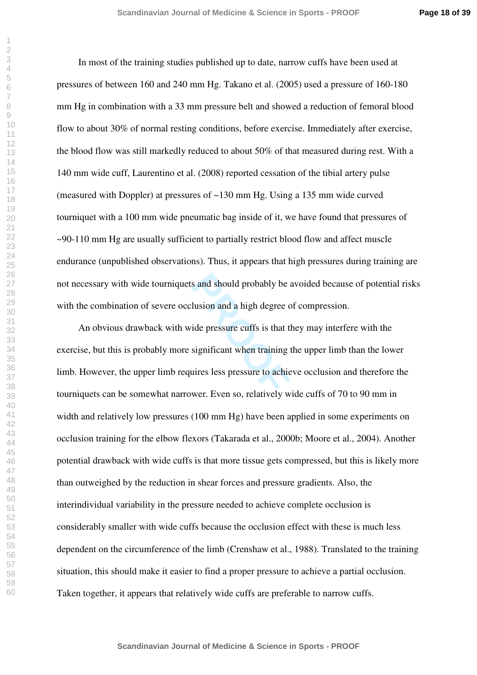**Page 18 of 39**

In most of the training studies published up to date, narrow cuffs have been used at pressures of between 160 and 240 mm Hg. Takano et al. (2005) used a pressure of 160-180 mm Hg in combination with a 33 mm pressure belt and showed a reduction of femoral blood flow to about 30% of normal resting conditions, before exercise. Immediately after exercise, the blood flow was still markedly reduced to about 50% of that measured during rest. With a 140 mm wide cuff, Laurentino et al. (2008) reported cessation of the tibial artery pulse (measured with Doppler) at pressures of ~130 mm Hg. Using a 135 mm wide curved tourniquet with a 100 mm wide pneumatic bag inside of it, we have found that pressures of ~90-110 mm Hg are usually sufficient to partially restrict blood flow and affect muscle endurance (unpublished observations). Thus, it appears that high pressures during training are not necessary with wide tourniquets and should probably be avoided because of potential risks with the combination of severe occlusion and a high degree of compression.

s and should probably be a<br>
lusion and a high degree of<br>
ide pressure cuffs is that the<br>
significant when training the<br>
significant when training the<br>
significant when training the<br>
significant when training the<br>
significa An obvious drawback with wide pressure cuffs is that they may interfere with the exercise, but this is probably more significant when training the upper limb than the lower limb. However, the upper limb requires less pressure to achieve occlusion and therefore the tourniquets can be somewhat narrower. Even so, relatively wide cuffs of 70 to 90 mm in width and relatively low pressures (100 mm Hg) have been applied in some experiments on occlusion training for the elbow flexors (Takarada et al., 2000b; Moore et al., 2004). Another potential drawback with wide cuffs is that more tissue gets compressed, but this is likely more than outweighed by the reduction in shear forces and pressure gradients. Also, the interindividual variability in the pressure needed to achieve complete occlusion is considerably smaller with wide cuffs because the occlusion effect with these is much less dependent on the circumference of the limb (Crenshaw et al., 1988). Translated to the training situation, this should make it easier to find a proper pressure to achieve a partial occlusion. Taken together, it appears that relatively wide cuffs are preferable to narrow cuffs.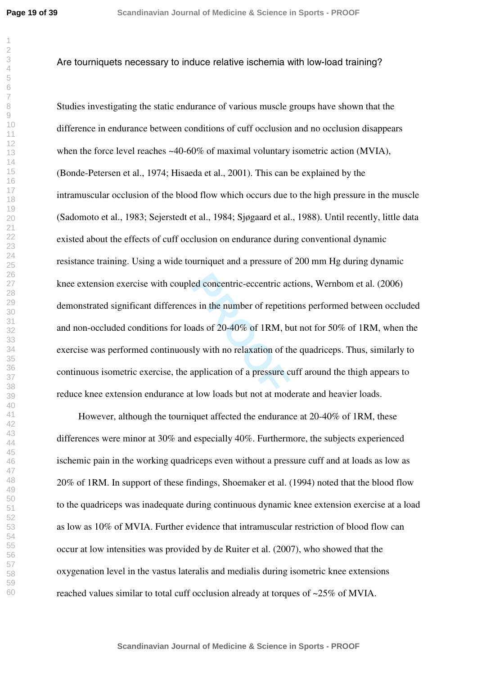#### 

## Are tourniquets necessary to induce relative ischemia with low-load training?

ed concentric-eccentric ac<br>
s in the number of repetiti<br>
ads of 20-40% of 1RM, bu<br>
buly with no relaxation of the<br>
application of a pressure contract the set of the<br>
t low loads but not at mode Studies investigating the static endurance of various muscle groups have shown that the difference in endurance between conditions of cuff occlusion and no occlusion disappears when the force level reaches  $\sim 40{\text -}60\%$  of maximal voluntary isometric action (MVIA), (Bonde-Petersen et al., 1974; Hisaeda et al., 2001). This can be explained by the intramuscular occlusion of the blood flow which occurs due to the high pressure in the muscle (Sadomoto et al., 1983; Sejerstedt et al., 1984; Sjøgaard et al., 1988). Until recently, little data existed about the effects of cuff occlusion on endurance during conventional dynamic resistance training. Using a wide tourniquet and a pressure of 200 mm Hg during dynamic knee extension exercise with coupled concentric-eccentric actions, Wernbom et al. (2006) demonstrated significant differences in the number of repetitions performed between occluded and non-occluded conditions for loads of 20-40% of 1RM, but not for 50% of 1RM, when the exercise was performed continuously with no relaxation of the quadriceps. Thus, similarly to continuous isometric exercise, the application of a pressure cuff around the thigh appears to reduce knee extension endurance at low loads but not at moderate and heavier loads.

However, although the tourniquet affected the endurance at 20-40% of 1RM, these differences were minor at 30% and especially 40%. Furthermore, the subjects experienced ischemic pain in the working quadriceps even without a pressure cuff and at loads as low as 20% of 1RM. In support of these findings, Shoemaker et al. (1994) noted that the blood flow to the quadriceps was inadequate during continuous dynamic knee extension exercise at a load as low as 10% of MVIA. Further evidence that intramuscular restriction of blood flow can occur at low intensities was provided by de Ruiter et al. (2007), who showed that the oxygenation level in the vastus lateralis and medialis during isometric knee extensions reached values similar to total cuff occlusion already at torques of ~25% of MVIA.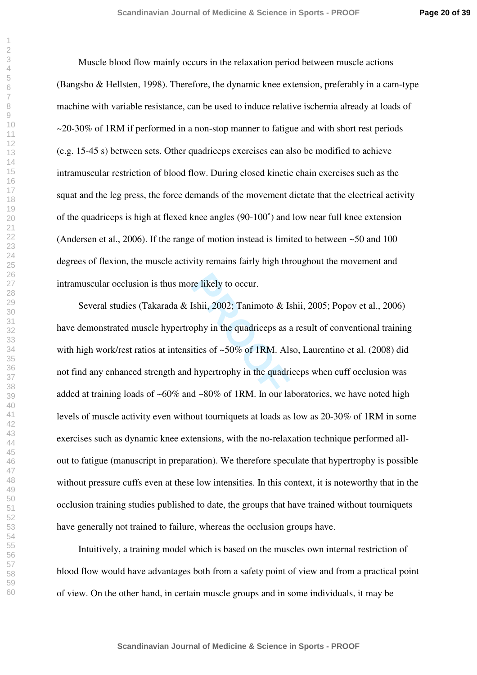**Page 20 of 39**

Muscle blood flow mainly occurs in the relaxation period between muscle actions (Bangsbo & Hellsten, 1998). Therefore, the dynamic knee extension, preferably in a cam-type machine with variable resistance, can be used to induce relative ischemia already at loads of  $\sim$ 20-30% of 1RM if performed in a non-stop manner to fatigue and with short rest periods (e.g. 15-45 s) between sets. Other quadriceps exercises can also be modified to achieve intramuscular restriction of blood flow. During closed kinetic chain exercises such as the squat and the leg press, the force demands of the movement dictate that the electrical activity of the quadriceps is high at flexed knee angles (90-100˚) and low near full knee extension (Andersen et al., 2006). If the range of motion instead is limited to between  $\sim$  50 and 100 degrees of flexion, the muscle activity remains fairly high throughout the movement and intramuscular occlusion is thus more likely to occur.

re likely to occur.<br> **Ishii, 2002; Tanimoto & Isophy in the quadriceps as a**<br> **PROOF** it is of ~50% of 1RM. Also<br> **PROOF** in the quadriceps<br> **PROOF** is the quadriceps<br> **PROOF** is the quadriceps Several studies (Takarada & Ishii, 2002; Tanimoto & Ishii, 2005; Popov et al., 2006) have demonstrated muscle hypertrophy in the quadriceps as a result of conventional training with high work/rest ratios at intensities of  $\sim 50\%$  of 1RM. Also, Laurentino et al. (2008) did not find any enhanced strength and hypertrophy in the quadriceps when cuff occlusion was added at training loads of  $~60\%$  and  $~80\%$  of 1RM. In our laboratories, we have noted high levels of muscle activity even without tourniquets at loads as low as 20-30% of 1RM in some exercises such as dynamic knee extensions, with the no-relaxation technique performed allout to fatigue (manuscript in preparation). We therefore speculate that hypertrophy is possible without pressure cuffs even at these low intensities. In this context, it is noteworthy that in the occlusion training studies published to date, the groups that have trained without tourniquets have generally not trained to failure, whereas the occlusion groups have.

Intuitively, a training model which is based on the muscles own internal restriction of blood flow would have advantages both from a safety point of view and from a practical point of view. On the other hand, in certain muscle groups and in some individuals, it may be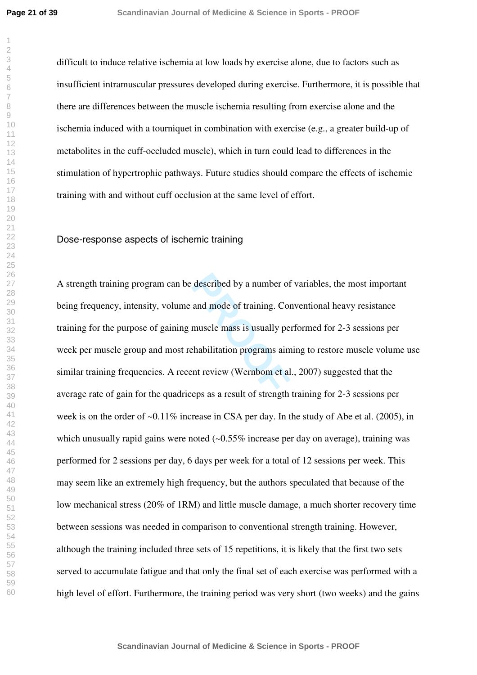difficult to induce relative ischemia at low loads by exercise alone, due to factors such as insufficient intramuscular pressures developed during exercise. Furthermore, it is possible that there are differences between the muscle ischemia resulting from exercise alone and the ischemia induced with a tourniquet in combination with exercise (e.g., a greater build-up of metabolites in the cuff-occluded muscle), which in turn could lead to differences in the stimulation of hypertrophic pathways. Future studies should compare the effects of ischemic training with and without cuff occlusion at the same level of effort.

Dose-response aspects of ischemic training

described by a number of<br>and mode of training. Cor<br>muscle mass is usually per<br>chabilitation programs aim<br>nt review (Wernbom et al<br>ens as a result of strength A strength training program can be described by a number of variables, the most important being frequency, intensity, volume and mode of training. Conventional heavy resistance training for the purpose of gaining muscle mass is usually performed for 2-3 sessions per week per muscle group and most rehabilitation programs aiming to restore muscle volume use similar training frequencies. A recent review (Wernbom et al., 2007) suggested that the average rate of gain for the quadriceps as a result of strength training for 2-3 sessions per week is on the order of ~0.11% increase in CSA per day. In the study of Abe et al. (2005), in which unusually rapid gains were noted  $(-0.55\%$  increase per day on average), training was performed for 2 sessions per day, 6 days per week for a total of 12 sessions per week. This may seem like an extremely high frequency, but the authors speculated that because of the low mechanical stress (20% of 1RM) and little muscle damage, a much shorter recovery time between sessions was needed in comparison to conventional strength training. However, although the training included three sets of 15 repetitions, it is likely that the first two sets served to accumulate fatigue and that only the final set of each exercise was performed with a high level of effort. Furthermore, the training period was very short (two weeks) and the gains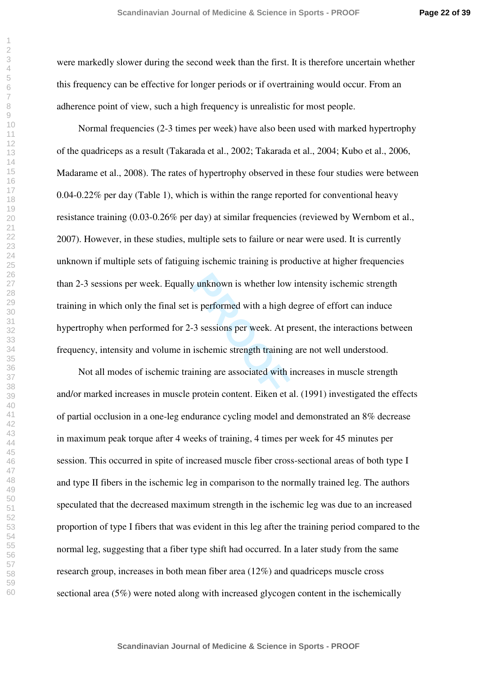were markedly slower during the second week than the first. It is therefore uncertain whether this frequency can be effective for longer periods or if overtraining would occur. From an adherence point of view, such a high frequency is unrealistic for most people.

by unknown is whether low<br>is performed with a high compared with a high<br>3 sessions per week. At p<br>ischemic strength training<br>ining are associated with increasing content. Fiken et a Normal frequencies (2-3 times per week) have also been used with marked hypertrophy of the quadriceps as a result (Takarada et al., 2002; Takarada et al., 2004; Kubo et al., 2006, Madarame et al., 2008). The rates of hypertrophy observed in these four studies were between  $0.04$ -0.22% per day (Table 1), which is within the range reported for conventional heavy resistance training (0.03-0.26% per day) at similar frequencies (reviewed by Wernbom et al., 2007). However, in these studies, multiple sets to failure or near were used. It is currently unknown if multiple sets of fatiguing ischemic training is productive at higher frequencies than 2-3 sessions per week. Equally unknown is whether low intensity ischemic strength training in which only the final set is performed with a high degree of effort can induce hypertrophy when performed for 2-3 sessions per week. At present, the interactions between frequency, intensity and volume in ischemic strength training are not well understood.

Not all modes of ischemic training are associated with increases in muscle strength and/or marked increases in muscle protein content. Eiken et al. (1991) investigated the effects of partial occlusion in a one-leg endurance cycling model and demonstrated an 8% decrease in maximum peak torque after 4 weeks of training, 4 times per week for 45 minutes per session. This occurred in spite of increased muscle fiber cross-sectional areas of both type I and type II fibers in the ischemic leg in comparison to the normally trained leg. The authors speculated that the decreased maximum strength in the ischemic leg was due to an increased proportion of type I fibers that was evident in this leg after the training period compared to the normal leg, suggesting that a fiber type shift had occurred. In a later study from the same research group, increases in both mean fiber area (12%) and quadriceps muscle cross sectional area (5%) were noted along with increased glycogen content in the ischemically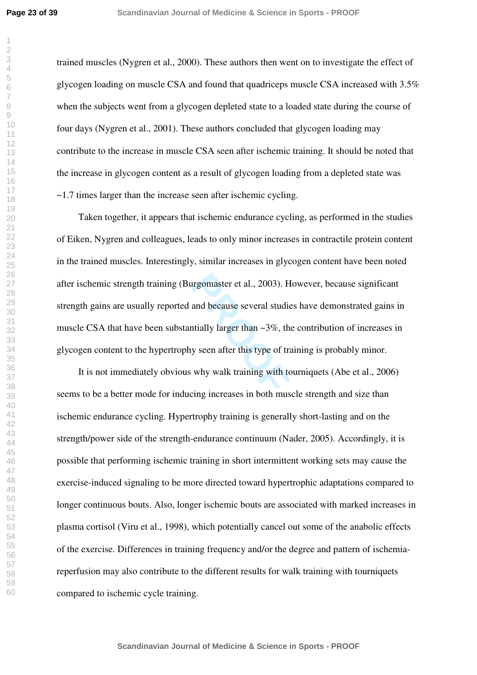trained muscles (Nygren et al., 2000). These authors then went on to investigate the effect of glycogen loading on muscle CSA and found that quadriceps muscle CSA increased with 3.5% when the subjects went from a glycogen depleted state to a loaded state during the course of four days (Nygren et al., 2001). These authors concluded that glycogen loading may contribute to the increase in muscle CSA seen after ischemic training. It should be noted that the increase in glycogen content as a result of glycogen loading from a depleted state was ~1.7 times larger than the increase seen after ischemic cycling.

From the same several studie<br>
and because several studie<br>
produce several studie<br>
produce that  $\sim$  3%, the<br>
produce see after this type of tra<br>
why walk training with to<br>
produce in both must Taken together, it appears that ischemic endurance cycling, as performed in the studies of Eiken, Nygren and colleagues, leads to only minor increases in contractile protein content in the trained muscles. Interestingly, similar increases in glycogen content have been noted after ischemic strength training (Burgomaster et al., 2003). However, because significant strength gains are usually reported and because several studies have demonstrated gains in muscle CSA that have been substantially larger than  $\sim$ 3%, the contribution of increases in glycogen content to the hypertrophy seen after this type of training is probably minor.

It is not immediately obvious why walk training with tourniquets (Abe et al., 2006) seems to be a better mode for inducing increases in both muscle strength and size than ischemic endurance cycling. Hypertrophy training is generally short-lasting and on the strength/power side of the strength-endurance continuum (Nader, 2005). Accordingly, it is possible that performing ischemic training in short intermittent working sets may cause the exercise-induced signaling to be more directed toward hypertrophic adaptations compared to longer continuous bouts. Also, longer ischemic bouts are associated with marked increases in plasma cortisol (Viru et al., 1998), which potentially cancel out some of the anabolic effects of the exercise. Differences in training frequency and/or the degree and pattern of ischemiareperfusion may also contribute to the different results for walk training with tourniquets compared to ischemic cycle training.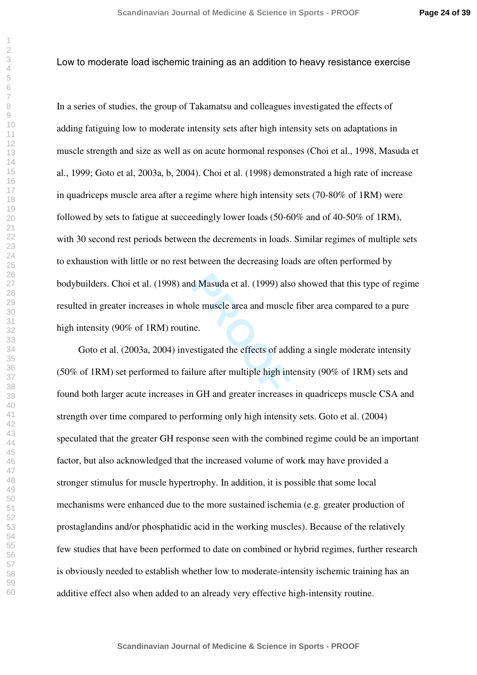#### Low to moderate load ischemic training as an addition to heavy resistance exercise

d Masuda et al. (1999) also<br>
le muscle area and muscle<br>
ne.<br>
estigated the effects of add<br>
lure after multiple high int<br> **PROCIES** In a series of studies, the group of Takamatsu and colleagues investigated the effects of adding fatiguing low to moderate intensity sets after high intensity sets on adaptations in muscle strength and size as well as on acute hormonal responses (Choi et al., 1998, Masuda et al., 1999; Goto et al, 2003a, b, 2004). Choi et al. (1998) demonstrated a high rate of increase in quadriceps muscle area after a regime where high intensity sets (70-80% of 1RM) were followed by sets to fatigue at succeedingly lower loads (50-60% and of 40-50% of 1RM), with 30 second rest periods between the decrements in loads. Similar regimes of multiple sets to exhaustion with little or no rest between the decreasing loads are often performed by bodybuilders. Choi et al. (1998) and Masuda et al. (1999) also showed that this type of regime resulted in greater increases in whole muscle area and muscle fiber area compared to a pure high intensity (90% of 1RM) routine.

Goto et al. (2003a, 2004) investigated the effects of adding a single moderate intensity (50% of 1RM) set performed to failure after multiple high intensity (90% of 1RM) sets and found both larger acute increases in GH and greater increases in quadriceps muscle CSA and strength over time compared to performing only high intensity sets. Goto et al. (2004) speculated that the greater GH response seen with the combined regime could be an important factor, but also acknowledged that the increased volume of work may have provided a stronger stimulus for muscle hypertrophy. In addition, it is possible that some local mechanisms were enhanced due to the more sustained ischemia (e.g. greater production of prostaglandins and/or phosphatidic acid in the working muscles). Because of the relatively few studies that have been performed to date on combined or hybrid regimes, further research is obviously needed to establish whether low to moderate-intensity ischemic training has an additive effect also when added to an already very effective high-intensity routine.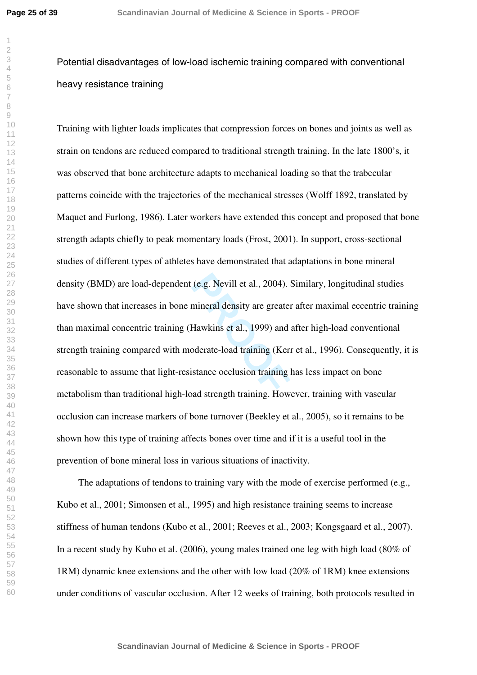Potential disadvantages of low-load ischemic training compared with conventional heavy resistance training

(e.g. Nevill et al., 2004). S<br>mineral density are greater<br>Hawkins et al., 1999) and a<br>pderate-load training (Kern<br>stance occlusion training l Training with lighter loads implicates that compression forces on bones and joints as well as strain on tendons are reduced compared to traditional strength training. In the late 1800's, it was observed that bone architecture adapts to mechanical loading so that the trabecular patterns coincide with the trajectories of the mechanical stresses (Wolff 1892, translated by Maquet and Furlong, 1986). Later workers have extended this concept and proposed that bone strength adapts chiefly to peak momentary loads (Frost, 2001). In support, cross-sectional studies of different types of athletes have demonstrated that adaptations in bone mineral density (BMD) are load-dependent (e.g. Nevill et al., 2004). Similary, longitudinal studies have shown that increases in bone mineral density are greater after maximal eccentric training than maximal concentric training (Hawkins et al., 1999) and after high-load conventional strength training compared with moderate-load training (Kerr et al., 1996). Consequently, it is reasonable to assume that light-resistance occlusion training has less impact on bone metabolism than traditional high-load strength training. However, training with vascular occlusion can increase markers of bone turnover (Beekley et al., 2005), so it remains to be shown how this type of training affects bones over time and if it is a useful tool in the prevention of bone mineral loss in various situations of inactivity.

The adaptations of tendons to training vary with the mode of exercise performed (e.g., Kubo et al., 2001; Simonsen et al., 1995) and high resistance training seems to increase stiffness of human tendons (Kubo et al., 2001; Reeves et al., 2003; Kongsgaard et al., 2007). In a recent study by Kubo et al. (2006), young males trained one leg with high load (80% of 1RM) dynamic knee extensions and the other with low load (20% of 1RM) knee extensions under conditions of vascular occlusion. After 12 weeks of training, both protocols resulted in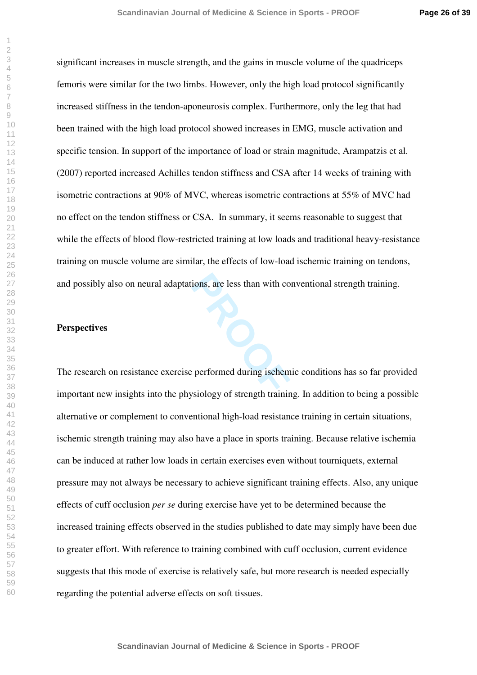significant increases in muscle strength, and the gains in muscle volume of the quadriceps femoris were similar for the two limbs. However, only the high load protocol significantly increased stiffness in the tendon-aponeurosis complex. Furthermore, only the leg that had been trained with the high load protocol showed increases in EMG, muscle activation and specific tension. In support of the importance of load or strain magnitude, Arampatzis et al. (2007) reported increased Achilles tendon stiffness and CSA after 14 weeks of training with isometric contractions at 90% of MVC, whereas isometric contractions at 55% of MVC had no effect on the tendon stiffness or CSA. In summary, it seems reasonable to suggest that while the effects of blood flow-restricted training at low loads and traditional heavy-resistance training on muscle volume are similar, the effects of low-load ischemic training on tendons, and possibly also on neural adaptations, are less than with conventional strength training.

#### **Perspectives**

The research on resistance exercise performed during ischemic conditions has so far provided important new insights into the physiology of strength training. In addition to being a possible alternative or complement to conventional high-load resistance training in certain situations, ischemic strength training may also have a place in sports training. Because relative ischemia can be induced at rather low loads in certain exercises even without tourniquets, external pressure may not always be necessary to achieve significant training effects. Also, any unique effects of cuff occlusion *per se* during exercise have yet to be determined because the increased training effects observed in the studies published to date may simply have been due to greater effort. With reference to training combined with cuff occlusion, current evidence suggests that this mode of exercise is relatively safe, but more research is needed especially regarding the potential adverse effects on soft tissues.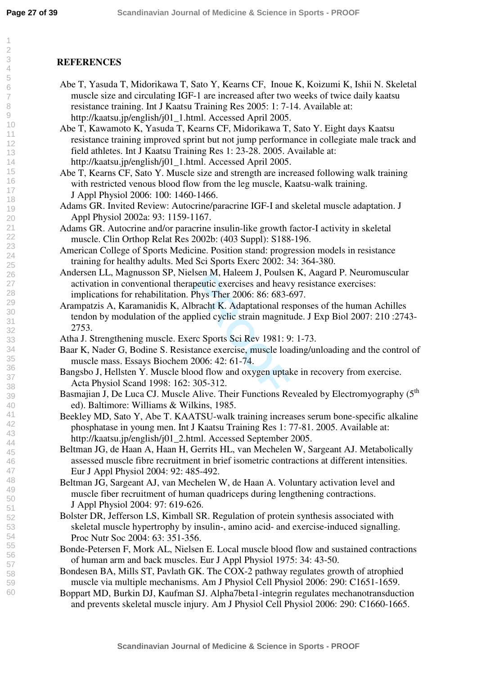# **REFERENCES**

- Abe T, Yasuda T, Midorikawa T, Sato Y, Kearns CF, Inoue K, Koizumi K, Ishii N. Skeletal muscle size and circulating IGF-1 are increased after two weeks of twice daily kaatsu resistance training. Int J Kaatsu Training Res 2005: 1: 7-14. Available at: http://kaatsu.jp/english/j01\_1.html. Accessed April 2005.
- Abe T, Kawamoto K, Yasuda T, Kearns CF, Midorikawa T, Sato Y. Eight days Kaatsu resistance training improved sprint but not jump performance in collegiate male track and field athletes. Int J Kaatsu Training Res 1: 23-28. 2005. Available at: http://kaatsu.jp/english/j01\_1.html. Accessed April 2005.
- Abe T, Kearns CF, Sato Y. Muscle size and strength are increased following walk training with restricted venous blood flow from the leg muscle, Kaatsu-walk training. J Appl Physiol 2006: 100: 1460-1466.
- Adams GR. Invited Review: Autocrine/paracrine IGF-I and skeletal muscle adaptation. J Appl Physiol 2002a: 93: 1159-1167.
- Adams GR. Autocrine and/or paracrine insulin-like growth factor-I activity in skeletal muscle. Clin Orthop Relat Res 2002b: (403 Suppl): S188-196.
- American College of Sports Medicine. Position stand: progression models in resistance training for healthy adults. Med Sci Sports Exerc 2002: 34: 364-380.
- Andersen LL, Magnusson SP, Nielsen M, Haleem J, Poulsen K, Aagard P. Neuromuscular activation in conventional therapeutic exercises and heavy resistance exercises: implications for rehabilitation. Phys Ther 2006: 86: 683-697.
- ISEN M, Haleem J, Poulser<br>peutic exercises and heavy<br>Phys Ther 2006: 86: 683-6<br>bracht K. Adaptational res<br>plied cyclic strain magniture<br>field cyclic strain magniture<br>face exercise, muscle loas<br>2006: 42: 61-74.<br>pod flow and Arampatzis A, Karamanidis K, Albracht K. Adaptational responses of the human Achilles tendon by modulation of the applied cyclic strain magnitude. J Exp Biol 2007: 210 :2743- 2753.
- Atha J. Strengthening muscle. Exerc Sports Sci Rev 1981: 9: 1-73.
- Baar K, Nader G, Bodine S. Resistance exercise, muscle loading/unloading and the control of muscle mass. Essays Biochem 2006: 42: 61-74.
- Bangsbo J, Hellsten Y. Muscle blood flow and oxygen uptake in recovery from exercise. Acta Physiol Scand 1998: 162: 305-312.
- Basmajian J, De Luca CJ. Muscle Alive. Their Functions Revealed by Electromyography (5<sup>th</sup>) ed). Baltimore: Williams & Wilkins, 1985.
- Beekley MD, Sato Y, Abe T. KAATSU-walk training increases serum bone-specific alkaline phosphatase in young men. Int J Kaatsu Training Res 1: 77-81. 2005. Available at: http://kaatsu.jp/english/j01\_2.html. Accessed September 2005.
- Beltman JG, de Haan A, Haan H, Gerrits HL, van Mechelen W, Sargeant AJ. Metabolically assessed muscle fibre recruitment in brief isometric contractions at different intensities. Eur J Appl Physiol 2004: 92: 485-492.
- Beltman JG, Sargeant AJ, van Mechelen W, de Haan A. Voluntary activation level and muscle fiber recruitment of human quadriceps during lengthening contractions. J Appl Physiol 2004: 97: 619-626.
- Bolster DR, Jefferson LS, Kimball SR. Regulation of protein synthesis associated with skeletal muscle hypertrophy by insulin-, amino acid- and exercise-induced signalling. Proc Nutr Soc 2004: 63: 351-356.
- Bonde-Petersen F, Mork AL, Nielsen E. Local muscle blood flow and sustained contractions of human arm and back muscles. Eur J Appl Physiol 1975: 34: 43-50.
- Bondesen BA, Mills ST, Pavlath GK. The COX-2 pathway regulates growth of atrophied muscle via multiple mechanisms. Am J Physiol Cell Physiol 2006: 290: C1651-1659.
- Boppart MD, Burkin DJ, Kaufman SJ. Alpha7beta1-integrin regulates mechanotransduction and prevents skeletal muscle injury. Am J Physiol Cell Physiol 2006: 290: C1660-1665.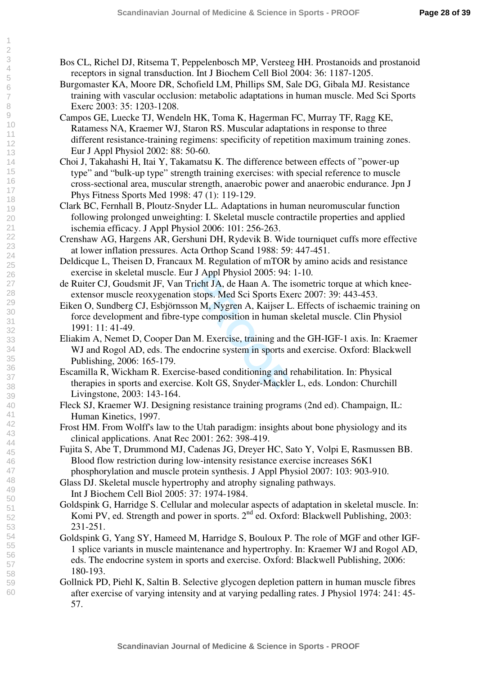- Bos CL, Richel DJ, Ritsema T, Peppelenbosch MP, Versteeg HH. Prostanoids and prostanoid receptors in signal transduction. Int J Biochem Cell Biol 2004: 36: 1187-1205.
- Burgomaster KA, Moore DR, Schofield LM, Phillips SM, Sale DG, Gibala MJ. Resistance training with vascular occlusion: metabolic adaptations in human muscle. Med Sci Sports Exerc 2003: 35: 1203-1208.
- Campos GE, Luecke TJ, Wendeln HK, Toma K, Hagerman FC, Murray TF, Ragg KE, Ratamess NA, Kraemer WJ, Staron RS. Muscular adaptations in response to three different resistance-training regimens: specificity of repetition maximum training zones. Eur J Appl Physiol 2002: 88: 50-60.
- Choi J, Takahashi H, Itai Y, Takamatsu K. The difference between effects of "power-up type" and "bulk-up type" strength training exercises: with special reference to muscle cross-sectional area, muscular strength, anaerobic power and anaerobic endurance. Jpn J Phys Fitness Sports Med 1998: 47 (1): 119-129.
- Clark BC, Fernhall B, Ploutz-Snyder LL. Adaptations in human neuromuscular function following prolonged unweighting: I. Skeletal muscle contractile properties and applied ischemia efficacy. J Appl Physiol 2006: 101: 256-263.
- Crenshaw AG, Hargens AR, Gershuni DH, Rydevik B. Wide tourniquet cuffs more effective at lower inflation pressures. Acta Orthop Scand 1988: 59: 447-451.
- Deldicque L, Theisen D, Francaux M. Regulation of mTOR by amino acids and resistance exercise in skeletal muscle. Eur J Appl Physiol 2005: 94: 1-10.
- de Ruiter CJ, Goudsmit JF, Van Tricht JA, de Haan A. The isometric torque at which kneeextensor muscle reoxygenation stops. Med Sci Sports Exerc 2007: 39: 443-453.
- Eiken O, Sundberg CJ, Esbjörnsson M, Nygren A, Kaijser L. Effects of ischaemic training on force development and fibre-type composition in human skeletal muscle. Clin Physiol 1991: 11: 41-49.
- **PROPENDITY AND ASSEMALY ASSEMALY ASSEMALY ASSEMALY ASSEMBLE STATE Stops. Med Sci Sports Except on M, Nygren A, Kaijser L pe composition in human s<br>M. Exercise, training and docrine system in sports as e-based conditioning** Eliakim A, Nemet D, Cooper Dan M. Exercise, training and the GH-IGF-1 axis. In: Kraemer WJ and Rogol AD, eds. The endocrine system in sports and exercise. Oxford: Blackwell Publishing, 2006: 165-179.
- Escamilla R, Wickham R. Exercise-based conditioning and rehabilitation. In: Physical therapies in sports and exercise. Kolt GS, Snyder-Mackler L, eds. London: Churchill Livingstone, 2003: 143-164.
- Fleck SJ, Kraemer WJ. Designing resistance training programs (2nd ed). Champaign, IL: Human Kinetics, 1997.
- Frost HM. From Wolff's law to the Utah paradigm: insights about bone physiology and its clinical applications. Anat Rec 2001: 262: 398-419.
- Fujita S, Abe T, Drummond MJ, Cadenas JG, Dreyer HC, Sato Y, Volpi E, Rasmussen BB. Blood flow restriction during low-intensity resistance exercise increases S6K1 phosphorylation and muscle protein synthesis. J Appl Physiol 2007: 103: 903-910.

Glass DJ. Skeletal muscle hypertrophy and atrophy signaling pathways. Int J Biochem Cell Biol 2005: 37: 1974-1984.

- Goldspink G, Harridge S. Cellular and molecular aspects of adaptation in skeletal muscle. In: Komi PV, ed. Strength and power in sports. 2<sup>nd</sup> ed. Oxford: Blackwell Publishing, 2003: 231-251.
- Goldspink G, Yang SY, Hameed M, Harridge S, Bouloux P. The role of MGF and other IGF-1 splice variants in muscle maintenance and hypertrophy. In: Kraemer WJ and Rogol AD, eds. The endocrine system in sports and exercise. Oxford: Blackwell Publishing, 2006: 180-193.
- Gollnick PD, Piehl K, Saltin B. Selective glycogen depletion pattern in human muscle fibres after exercise of varying intensity and at varying pedalling rates. J Physiol 1974: 241: 45- 57.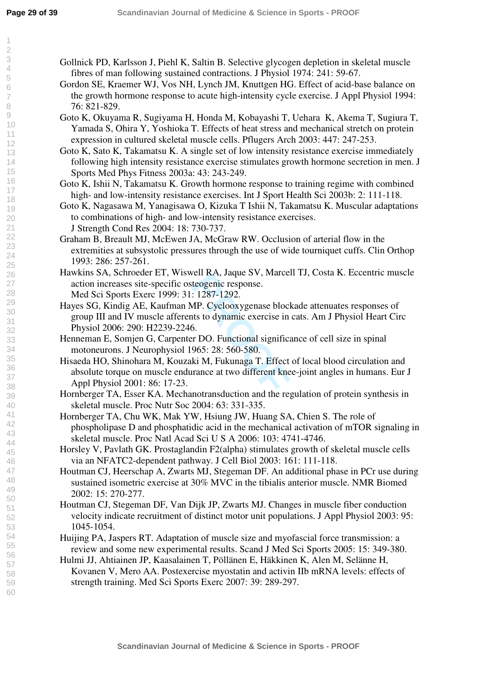- Gollnick PD, Karlsson J, Piehl K, Saltin B. Selective glycogen depletion in skeletal muscle fibres of man following sustained contractions. J Physiol 1974: 241: 59-67.
- Gordon SE, Kraemer WJ, Vos NH, Lynch JM, Knuttgen HG. Effect of acid-base balance on the growth hormone response to acute high-intensity cycle exercise. J Appl Physiol 1994: 76: 821-829.
- Goto K, Okuyama R, Sugiyama H, Honda M, Kobayashi T, Uehara K, Akema T, Sugiura T, Yamada S, Ohira Y, Yoshioka T. Effects of heat stress and mechanical stretch on protein expression in cultured skeletal muscle cells. Pflugers Arch 2003: 447: 247-253.
- Goto K, Sato K, Takamatsu K. A single set of low intensity resistance exercise immediately following high intensity resistance exercise stimulates growth hormone secretion in men. J Sports Med Phys Fitness 2003a: 43: 243-249.

Goto K, Ishii N, Takamatsu K. Growth hormone response to training regime with combined high- and low-intensity resistance exercises. Int J Sport Health Sci 2003b: 2: 111-118.

- Goto K, Nagasawa M, Yanagisawa O, Kizuka T Ishii N, Takamatsu K. Muscular adaptations to combinations of high- and low-intensity resistance exercises. J Strength Cond Res 2004: 18: 730-737.
- Graham B, Breault MJ, McEwen JA, McGraw RW. Occlusion of arterial flow in the extremities at subsystolic pressures through the use of wide tourniquet cuffs. Clin Orthop 1993: 286: 257-261.
- Hawkins SA, Schroeder ET, Wiswell RA, Jaque SV, Marcell TJ, Costa K. Eccentric muscle action increases site-specific osteogenic response. Med Sci Sports Exerc 1999: 31: 1287-1292.
- Hayes SG, Kindig AE, Kaufman MP. Cyclooxygenase blockade attenuates responses of group III and IV muscle afferents to dynamic exercise in cats. Am J Physiol Heart Circ Physiol 2006: 290: H2239-2246.
- Henneman E, Somjen G, Carpenter DO. Functional significance of cell size in spinal motoneurons. J Neurophysiol 1965: 28: 560-580.
- Feli KA, Jaque S v, Marcel<br>
teogenic response.<br>
: 1287-1292.<br>
MP. Cyclooxygenase block<br>
tts to dynamic exercise in<br>
5.<br>
F DO. Functional significa<br>
965: 28: 560-580.<br>
ki M, Fukunaga T. Effect<br>
trance at two different kne<br> Hisaeda HO, Shinohara M, Kouzaki M, Fukunaga T. Effect of local blood circulation and absolute torque on muscle endurance at two different knee-joint angles in humans. Eur J Appl Physiol 2001: 86: 17-23.
- Hornberger TA, Esser KA. Mechanotransduction and the regulation of protein synthesis in skeletal muscle. Proc Nutr Soc 2004: 63: 331-335.
- Hornberger TA, Chu WK, Mak YW, Hsiung JW, Huang SA, Chien S. The role of phospholipase D and phosphatidic acid in the mechanical activation of mTOR signaling in skeletal muscle. Proc Natl Acad Sci U S A 2006: 103: 4741-4746.
- Horsley V, Pavlath GK. Prostaglandin F2(alpha) stimulates growth of skeletal muscle cells via an NFATC2-dependent pathway. J Cell Biol 2003: 161: 111-118.
- Houtman CJ, Heerschap A, Zwarts MJ, Stegeman DF. An additional phase in PCr use during sustained isometric exercise at 30% MVC in the tibialis anterior muscle. NMR Biomed 2002: 15: 270-277.
- Houtman CJ, Stegeman DF, Van Dijk JP, Zwarts MJ. Changes in muscle fiber conduction velocity indicate recruitment of distinct motor unit populations. J Appl Physiol 2003: 95: 1045-1054.
- Huijing PA, Jaspers RT. Adaptation of muscle size and myofascial force transmission: a review and some new experimental results. Scand J Med Sci Sports 2005: 15: 349-380.
- Hulmi JJ, Ahtiainen JP, Kaasalainen T, Pöllänen E, Häkkinen K, Alen M, Selänne H, Kovanen V, Mero AA. Postexercise myostatin and activin IIb mRNA levels: effects of strength training. Med Sci Sports Exerc 2007: 39: 289-297.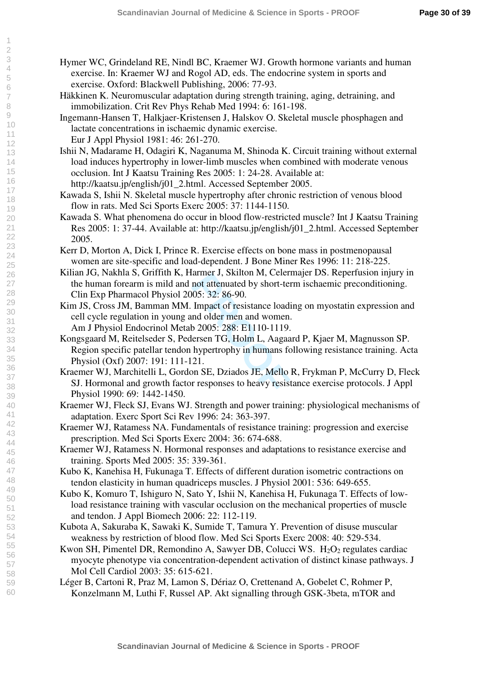- Hymer WC, Grindeland RE, Nindl BC, Kraemer WJ. Growth hormone variants and human exercise. In: Kraemer WJ and Rogol AD, eds. The endocrine system in sports and exercise. Oxford: Blackwell Publishing, 2006: 77-93.
- Häkkinen K. Neuromuscular adaptation during strength training, aging, detraining, and immobilization. Crit Rev Phys Rehab Med 1994: 6: 161-198.
- Ingemann-Hansen T, Halkjaer-Kristensen J, Halskov O. Skeletal muscle phosphagen and lactate concentrations in ischaemic dynamic exercise. Eur J Appl Physiol 1981: 46: 261-270.
- Ishii N, Madarame H, Odagiri K, Naganuma M, Shinoda K. Circuit training without external load induces hypertrophy in lower-limb muscles when combined with moderate venous occlusion. Int J Kaatsu Training Res 2005: 1: 24-28. Available at: http://kaatsu.jp/english/j01\_2.html. Accessed September 2005.
- Kawada S, Ishii N. Skeletal muscle hypertrophy after chronic restriction of venous blood flow in rats. Med Sci Sports Exerc 2005: 37: 1144-1150.
- Kawada S. What phenomena do occur in blood flow-restricted muscle? Int J Kaatsu Training Res 2005: 1: 37-44. Available at: http://kaatsu.jp/english/j01\_2.html. Accessed September 2005.
- Kerr D, Morton A, Dick I, Prince R. Exercise effects on bone mass in postmenopausal women are site-specific and load-dependent. J Bone Miner Res 1996: 11: 218-225.
- Kilian JG, Nakhla S, Griffith K, Harmer J, Skilton M, Celermajer DS. Reperfusion injury in the human forearm is mild and not attenuated by short-term ischaemic preconditioning. Clin Exp Pharmacol Physiol 2005: 32: 86-90.
- Kim JS, Cross JM, Bamman MM. Impact of resistance loading on myostatin expression and cell cycle regulation in young and older men and women. Am J Physiol Endocrinol Metab 2005: 288: E1110-1119.
- armer 3, SKHON M, Celern<br>not attenuated by short-ter<br>05: 32: 86-90.<br>Impact of resistance loadi<br>nd older men and women.<br>b 2005: 288: E1110-1119.<br>ersen TG, Holm L, Aagaa<br>hypertrophy in humans fo<br>21.<br>nn SE, Dziados JE, Mello Kongsgaard M, Reitelseder S, Pedersen TG, Holm L, Aagaard P, Kjaer M, Magnusson SP. Region specific patellar tendon hypertrophy in humans following resistance training. Acta Physiol (Oxf) 2007: 191: 111-121.
- Kraemer WJ, Marchitelli L, Gordon SE, Dziados JE, Mello R, Frykman P, McCurry D, Fleck SJ. Hormonal and growth factor responses to heavy resistance exercise protocols. J Appl Physiol 1990: 69: 1442-1450.
- Kraemer WJ, Fleck SJ, Evans WJ. Strength and power training: physiological mechanisms of adaptation. Exerc Sport Sci Rev 1996: 24: 363-397.
- Kraemer WJ, Ratamess NA. Fundamentals of resistance training: progression and exercise prescription. Med Sci Sports Exerc 2004: 36: 674-688.
- Kraemer WJ, Ratamess N. Hormonal responses and adaptations to resistance exercise and training. Sports Med 2005: 35: 339-361.
- Kubo K, Kanehisa H, Fukunaga T. Effects of different duration isometric contractions on tendon elasticity in human quadriceps muscles. J Physiol 2001: 536: 649-655.
- Kubo K, Komuro T, Ishiguro N, Sato Y, Ishii N, Kanehisa H, Fukunaga T. Effects of lowload resistance training with vascular occlusion on the mechanical properties of muscle and tendon. J Appl Biomech 2006: 22: 112-119.
- Kubota A, Sakuraba K, Sawaki K, Sumide T, Tamura Y. Prevention of disuse muscular weakness by restriction of blood flow. Med Sci Sports Exerc 2008: 40: 529-534.
- Kwon SH, Pimentel DR, Remondino A, Sawyer DB, Colucci WS.  $H_2O_2$  regulates cardiac myocyte phenotype via concentration-dependent activation of distinct kinase pathways. J Mol Cell Cardiol 2003: 35: 615-621.
- Léger B, Cartoni R, Praz M, Lamon S, Dériaz O, Crettenand A, Gobelet C, Rohmer P, Konzelmann M, Luthi F, Russel AP. Akt signalling through GSK-3beta, mTOR and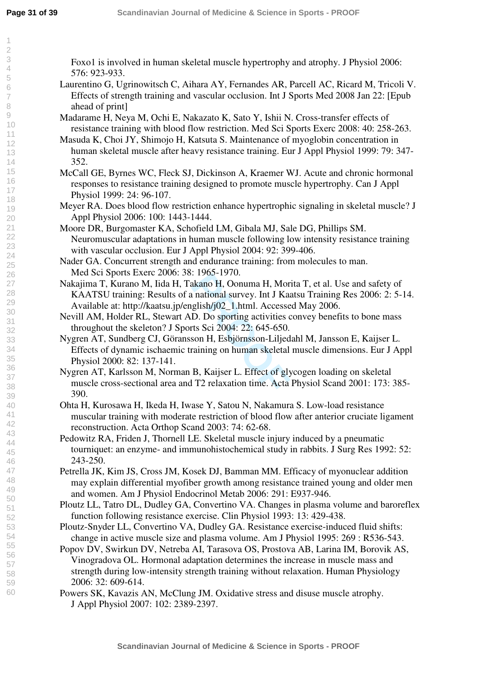Foxo1 is involved in human skeletal muscle hypertrophy and atrophy. J Physiol 2006: 576: 923-933.

- Laurentino G, Ugrinowitsch C, Aihara AY, Fernandes AR, Parcell AC, Ricard M, Tricoli V. Effects of strength training and vascular occlusion. Int J Sports Med 2008 Jan 22: [Epub ahead of print]
- Madarame H, Neya M, Ochi E, Nakazato K, Sato Y, Ishii N. Cross-transfer effects of resistance training with blood flow restriction. Med Sci Sports Exerc 2008: 40: 258-263.
- Masuda K, Choi JY, Shimojo H, Katsuta S. Maintenance of myoglobin concentration in human skeletal muscle after heavy resistance training. Eur J Appl Physiol 1999: 79: 347- 352.
- McCall GE, Byrnes WC, Fleck SJ, Dickinson A, Kraemer WJ. Acute and chronic hormonal responses to resistance training designed to promote muscle hypertrophy. Can J Appl Physiol 1999: 24: 96-107.
- Meyer RA. Does blood flow restriction enhance hypertrophic signaling in skeletal muscle? J Appl Physiol 2006: 100: 1443-1444.
- Moore DR, Burgomaster KA, Schofield LM, Gibala MJ, Sale DG, Phillips SM. Neuromuscular adaptations in human muscle following low intensity resistance training with vascular occlusion. Eur J Appl Physiol 2004: 92: 399-406.
- Nader GA. Concurrent strength and endurance training: from molecules to man. Med Sci Sports Exerc 2006: 38: 1965-1970.
- Nakajima T, Kurano M, Iida H, Takano H, Oonuma H, Morita T, et al. Use and safety of KAATSU training: Results of a national survey. Int J Kaatsu Training Res 2006: 2: 5-14. Available at: http://kaatsu.jp/english/j02\_1.html. Accessed May 2006.
- Nevill AM, Holder RL, Stewart AD. Do sporting activities convey benefits to bone mass throughout the skeleton? J Sports Sci 2004: 22: 645-650.
- 1903-1970.<br>
akano H, Oonuma H, Mori<br>
a national survey. Int J Kaa<br>
glish/j02\_1.html. Accesse<br>
D. Do sporting activities c<br>
rts Sci 2004: 22: 645-650.<br>
son H, Esbjörnsson-Liljed<br>
raining on human skeletal<br>
B, Kaijser L. Eff Nygren AT, Sundberg CJ, Göransson H, Esbjörnsson-Liljedahl M, Jansson E, Kaijser L. Effects of dynamic ischaemic training on human skeletal muscle dimensions. Eur J Appl Physiol 2000: 82: 137-141.
- Nygren AT, Karlsson M, Norman B, Kaijser L. Effect of glycogen loading on skeletal muscle cross-sectional area and T2 relaxation time. Acta Physiol Scand 2001: 173: 385- 390.
- Ohta H, Kurosawa H, Ikeda H, Iwase Y, Satou N, Nakamura S. Low-load resistance muscular training with moderate restriction of blood flow after anterior cruciate ligament reconstruction. Acta Orthop Scand 2003: 74: 62-68.
- Pedowitz RA, Friden J, Thornell LE. Skeletal muscle injury induced by a pneumatic tourniquet: an enzyme- and immunohistochemical study in rabbits. J Surg Res 1992: 52: 243-250.
- Petrella JK, Kim JS, Cross JM, Kosek DJ, Bamman MM. Efficacy of myonuclear addition may explain differential myofiber growth among resistance trained young and older men and women. Am J Physiol Endocrinol Metab 2006: 291: E937-946.
- Ploutz LL, Tatro DL, Dudley GA, Convertino VA. Changes in plasma volume and baroreflex function following resistance exercise. Clin Physiol 1993: 13: 429-438.
- Ploutz-Snyder LL, Convertino VA, Dudley GA. Resistance exercise-induced fluid shifts: change in active muscle size and plasma volume. Am J Physiol 1995: 269 : R536-543.
- Popov DV, Swirkun DV, Netreba AI, Tarasova OS, Prostova AB, Larina IM, Borovik AS, Vinogradova OL. Hormonal adaptation determines the increase in muscle mass and strength during low-intensity strength training without relaxation. Human Physiology 2006: 32: 609-614.
- Powers SK, Kavazis AN, McClung JM. Oxidative stress and disuse muscle atrophy. J Appl Physiol 2007: 102: 2389-2397.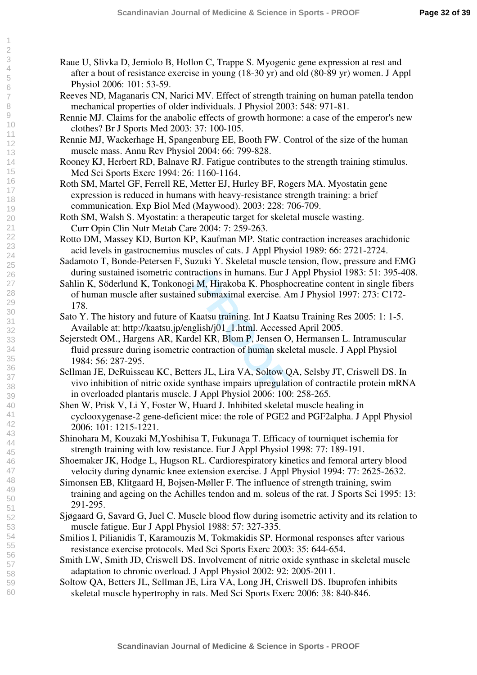- Raue U, Slivka D, Jemiolo B, Hollon C, Trappe S. Myogenic gene expression at rest and after a bout of resistance exercise in young (18-30 yr) and old (80-89 yr) women. J Appl Physiol 2006: 101: 53-59.
- Reeves ND, Maganaris CN, Narici MV. Effect of strength training on human patella tendon mechanical properties of older individuals. J Physiol 2003: 548: 971-81.
- Rennie MJ. Claims for the anabolic effects of growth hormone: a case of the emperor's new clothes? Br J Sports Med 2003: 37: 100-105.
- Rennie MJ, Wackerhage H, Spangenburg EE, Booth FW. Control of the size of the human muscle mass. Annu Rev Physiol 2004: 66: 799-828.
- Rooney KJ, Herbert RD, Balnave RJ. Fatigue contributes to the strength training stimulus. Med Sci Sports Exerc 1994: 26: 1160-1164.
- Roth SM, Martel GF, Ferrell RE, Metter EJ, Hurley BF, Rogers MA. Myostatin gene expression is reduced in humans with heavy-resistance strength training: a brief communication. Exp Biol Med (Maywood). 2003: 228: 706-709.
- Roth SM, Walsh S. Myostatin: a therapeutic target for skeletal muscle wasting. Curr Opin Clin Nutr Metab Care 2004: 7: 259-263.
- Rotto DM, Massey KD, Burton KP, Kaufman MP. Static contraction increases arachidonic acid levels in gastrocnemius muscles of cats. J Appl Physiol 1989: 66: 2721-2724.
- Sadamoto T, Bonde-Petersen F, Suzuki Y. Skeletal muscle tension, flow, pressure and EMG during sustained isometric contractions in humans. Eur J Appl Physiol 1983: 51: 395-408.
- Sahlin K, Söderlund K, Tonkonogi M, Hirakoba K. Phosphocreatine content in single fibers of human muscle after sustained submaximal exercise. Am J Physiol 1997: 273: C172- 178.
- Sato Y. The history and future of Kaatsu training. Int J Kaatsu Training Res 2005: 1: 1-5. Available at: http://kaatsu.jp/english/j01\_1.html. Accessed April 2005.
- i M, Hirakoba K. Phosphe<br>
i M, Hirakoba K. Phosphe<br>
d submaximal exercise. A<br>
Kaatsu training. Int J Kaat:<br>
glish/j01\_1.html. Accesse<br>
del KR, Blom P, Jensen O<br>
contraction of human skel<br>
ers JL, Lira VA, Soltow Q<br>
ynthase Sejerstedt OM., Hargens AR, Kardel KR, Blom P, Jensen O, Hermansen L. Intramuscular fluid pressure during isometric contraction of human skeletal muscle. J Appl Physiol 1984: 56: 287-295.
- Sellman JE, DeRuisseau KC, Betters JL, Lira VA, Soltow QA, Selsby JT, Criswell DS. In vivo inhibition of nitric oxide synthase impairs upregulation of contractile protein mRNA in overloaded plantaris muscle. J Appl Physiol 2006: 100: 258-265.
- Shen W, Prisk V, Li Y, Foster W, Huard J. Inhibited skeletal muscle healing in cyclooxygenase-2 gene-deficient mice: the role of PGE2 and PGF2alpha. J Appl Physiol 2006: 101: 1215-1221.
- Shinohara M, Kouzaki M,Yoshihisa T, Fukunaga T. Efficacy of tourniquet ischemia for strength training with low resistance. Eur J Appl Physiol 1998: 77: 189-191.
- Shoemaker JK, Hodge L, Hugson RL. Cardiorespiratory kinetics and femoral artery blood velocity during dynamic knee extension exercise. J Appl Physiol 1994: 77: 2625-2632.
- Simonsen EB, Klitgaard H, Bojsen-Møller F. The influence of strength training, swim training and ageing on the Achilles tendon and m. soleus of the rat. J Sports Sci 1995: 13: 291-295.
- Sjøgaard G, Savard G, Juel C. Muscle blood flow during isometric activity and its relation to muscle fatigue. Eur J Appl Physiol 1988: 57: 327-335.
- Smilios I, Pilianidis T, Karamouzis M, Tokmakidis SP. Hormonal responses after various resistance exercise protocols. Med Sci Sports Exerc 2003: 35: 644-654.
- Smith LW, Smith JD, Criswell DS. Involvement of nitric oxide synthase in skeletal muscle adaptation to chronic overload. J Appl Physiol 2002: 92: 2005-2011.
- Soltow QA, Betters JL, Sellman JE, Lira VA, Long JH, Criswell DS. Ibuprofen inhibits skeletal muscle hypertrophy in rats. Med Sci Sports Exerc 2006: 38: 840-846.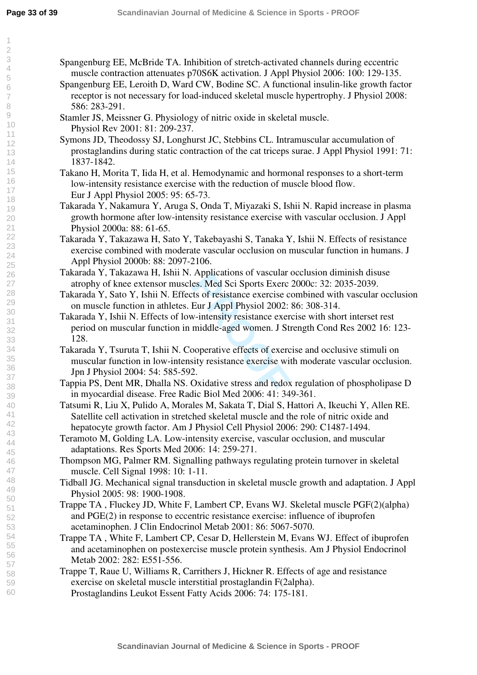- Spangenburg EE, McBride TA. Inhibition of stretch-activated channels during eccentric muscle contraction attenuates p70S6K activation. J Appl Physiol 2006: 100: 129-135. Spangenburg EE, Leroith D, Ward CW, Bodine SC. A functional insulin-like growth factor
- receptor is not necessary for load-induced skeletal muscle hypertrophy. J Physiol 2008: 586: 283-291.
- Stamler JS, Meissner G. Physiology of nitric oxide in skeletal muscle. Physiol Rev 2001: 81: 209-237.
- Symons JD, Theodossy SJ, Longhurst JC, Stebbins CL. Intramuscular accumulation of prostaglandins during static contraction of the cat triceps surae. J Appl Physiol 1991: 71: 1837-1842.
- Takano H, Morita T, Iida H, et al. Hemodynamic and hormonal responses to a short-term low-intensity resistance exercise with the reduction of muscle blood flow. Eur J Appl Physiol 2005: 95: 65-73.
- Takarada Y, Nakamura Y, Aruga S, Onda T, Miyazaki S, Ishii N. Rapid increase in plasma growth hormone after low-intensity resistance exercise with vascular occlusion. J Appl Physiol 2000a: 88: 61-65.
- Takarada Y, Takazawa H, Sato Y, Takebayashi S, Tanaka Y, Ishii N. Effects of resistance exercise combined with moderate vascular occlusion on muscular function in humans. J Appl Physiol 2000b: 88: 2097-2106.
- Takarada Y, Takazawa H, Ishii N. Applications of vascular occlusion diminish disuse atrophy of knee extensor muscles. Med Sci Sports Exerc 2000c: 32: 2035-2039.
- Takarada Y, Sato Y, Ishii N. Effects of resistance exercise combined with vascular occlusion on muscle function in athletes. Eur J Appl Physiol 2002: 86: 308-314.
- Replications of vascular of<br>
es. Med Sci Sports Exerc<br>
ests of resistance exercise co<br>
Eur J Appl Physiol 2002:<br>
W-intensity resistance exercise<br>
middle-aged women. J Str<br>
pooperative effects of exerc<br>
sity resistance exer Takarada Y, Ishii N. Effects of low-intensity resistance exercise with short interset rest period on muscular function in middle-aged women. J Strength Cond Res 2002 16: 123- 128.
- Takarada Y, Tsuruta T, Ishii N. Cooperative effects of exercise and occlusive stimuli on muscular function in low-intensity resistance exercise with moderate vascular occlusion. Jpn J Physiol 2004: 54: 585-592.
- Tappia PS, Dent MR, Dhalla NS. Oxidative stress and redox regulation of phospholipase D in myocardial disease. Free Radic Biol Med 2006: 41: 349-361.
- Tatsumi R, Liu X, Pulido A, Morales M, Sakata T, Dial S, Hattori A, Ikeuchi Y, Allen RE. Satellite cell activation in stretched skeletal muscle and the role of nitric oxide and hepatocyte growth factor. Am J Physiol Cell Physiol 2006: 290: C1487-1494.
- Teramoto M, Golding LA. Low-intensity exercise, vascular occlusion, and muscular adaptations. Res Sports Med 2006: 14: 259-271.
- Thompson MG, Palmer RM. Signalling pathways regulating protein turnover in skeletal muscle. Cell Signal 1998: 10: 1-11.
- Tidball JG. Mechanical signal transduction in skeletal muscle growth and adaptation. J Appl Physiol 2005: 98: 1900-1908.
- Trappe TA , Fluckey JD, White F, Lambert CP, Evans WJ. Skeletal muscle PGF(2)(alpha) and PGE(2) in response to eccentric resistance exercise: influence of ibuprofen acetaminophen. J Clin Endocrinol Metab 2001: 86: 5067-5070.
- Trappe TA , White F, Lambert CP, Cesar D, Hellerstein M, Evans WJ. Effect of ibuprofen and acetaminophen on postexercise muscle protein synthesis. Am J Physiol Endocrinol Metab 2002: 282: E551-556.
- Trappe T, Raue U, Williams R, Carrithers J, Hickner R. Effects of age and resistance exercise on skeletal muscle interstitial prostaglandin F(2alpha). Prostaglandins Leukot Essent Fatty Acids 2006: 74: 175-181.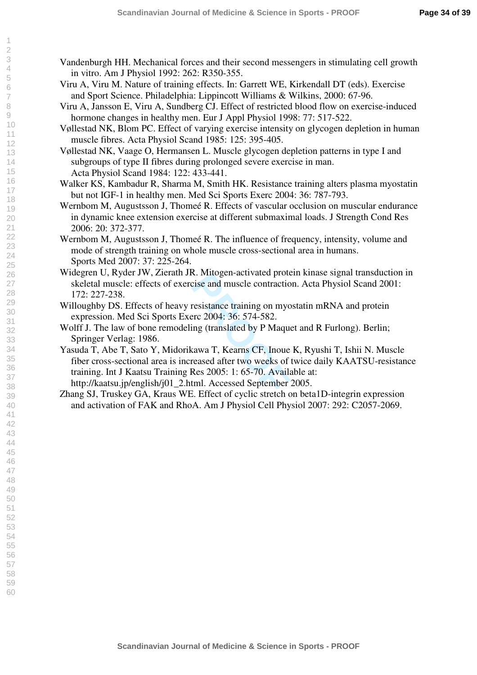- Vandenburgh HH. Mechanical forces and their second messengers in stimulating cell growth in vitro. Am J Physiol 1992: 262: R350-355.
- Viru A, Viru M. Nature of training effects. In: Garrett WE, Kirkendall DT (eds). Exercise and Sport Science. Philadelphia: Lippincott Williams & Wilkins, 2000: 67-96.
- Viru A, Jansson E, Viru A, Sundberg CJ. Effect of restricted blood flow on exercise-induced hormone changes in healthy men. Eur J Appl Physiol 1998: 77: 517-522.
- Vøllestad NK, Blom PC. Effect of varying exercise intensity on glycogen depletion in human muscle fibres. Acta Physiol Scand 1985: 125: 395-405.
- Vøllestad NK, Vaage O, Hermansen L. Muscle glycogen depletion patterns in type I and subgroups of type II fibres during prolonged severe exercise in man. Acta Physiol Scand 1984: 122: 433-441.
- Walker KS, Kambadur R, Sharma M, Smith HK. Resistance training alters plasma myostatin but not IGF-1 in healthy men. Med Sci Sports Exerc 2004: 36: 787-793.
- Wernbom M, Augustsson J, Thomeé R. Effects of vascular occlusion on muscular endurance in dynamic knee extension exercise at different submaximal loads. J Strength Cond Res 2006: 20: 372-377.
- Wernbom M, Augustsson J, Thomeé R. The influence of frequency, intensity, volume and mode of strength training on whole muscle cross-sectional area in humans. Sports Med 2007: 37: 225-264.
- Widegren U, Ryder JW, Zierath JR. Mitogen-activated protein kinase signal transduction in skeletal muscle: effects of exercise and muscle contraction. Acta Physiol Scand 2001: 172: 227-238.
- Willoughby DS. Effects of heavy resistance training on myostatin mRNA and protein expression. Med Sci Sports Exerc 2004: 36: 574-582.
- Wolff J. The law of bone remodeling (translated by P Maquet and R Furlong). Berlin; Springer Verlag: 1986.
- Example 2004: 36: 574-582.<br>
Property and muscle contraction<br>
resistance training on myorec 2004: 36: 574-582.<br>
Ing (translated by P Maque<br>
Res 2005: 1: 65-70. Availa<br>
Res 2005: 1: 65-70. Availa<br>
Hend. Accessed September 2. Yasuda T, Abe T, Sato Y, Midorikawa T, Kearns CF, Inoue K, Ryushi T, Ishii N. Muscle fiber cross-sectional area is increased after two weeks of twice daily KAATSU-resistance training. Int J Kaatsu Training Res 2005: 1: 65-70. Available at: http://kaatsu.jp/english/j01\_2.html. Accessed September 2005.
- Zhang SJ, Truskey GA, Kraus WE. Effect of cyclic stretch on beta1D-integrin expression and activation of FAK and RhoA. Am J Physiol Cell Physiol 2007: 292: C2057-2069.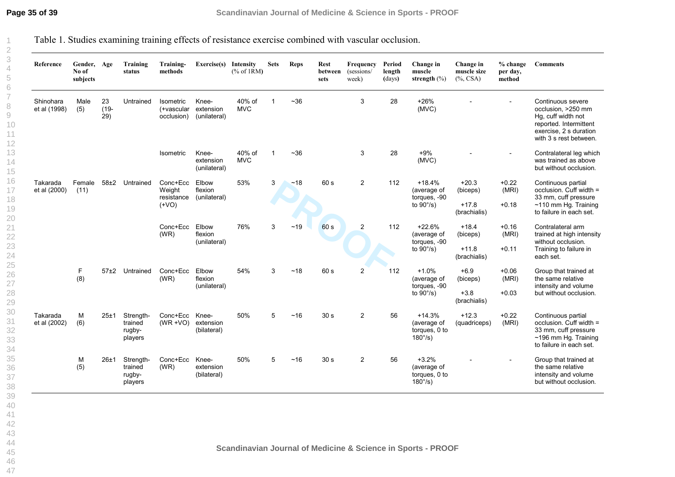Table 1. Studies examining training effects of resistance exercise combined with vascular occlusion.

| Reference                 | Gender, Age<br>No of<br>subjects |                      | Training<br>status                        | Training-<br>methods                                              | Exercise(s)                                                          | <b>Intensity</b><br>% of 1RM | <b>Sets</b> | <b>Reps</b> | <b>Rest</b><br>between<br>sets | Frequency<br>(sessions/<br>week) | Period<br>length<br>(days) | Change in<br>muscle<br>strength $(\% )$                        | Change in<br>muscle size<br>$(\%$ , CSA) | % change<br>per day,<br>method | <b>Comments</b>                                                                                                                             |
|---------------------------|----------------------------------|----------------------|-------------------------------------------|-------------------------------------------------------------------|----------------------------------------------------------------------|------------------------------|-------------|-------------|--------------------------------|----------------------------------|----------------------------|----------------------------------------------------------------|------------------------------------------|--------------------------------|---------------------------------------------------------------------------------------------------------------------------------------------|
| Shinohara<br>et al (1998) | Male<br>(5)                      | 23<br>$(19 -$<br>29) | Untrained                                 | <b>Isometric</b><br>(+vascular<br>occlusion)                      | Knee-<br>extension<br>(unilateral)                                   | 40% of<br><b>MVC</b>         | $\mathbf 1$ | $~1$ - 36   |                                | 3                                | 28                         | $+26%$<br>(MVC)                                                |                                          |                                | Continuous severe<br>occlusion, >250 mm<br>Hq, cuff width not<br>reported. Intermittent<br>exercise, 2 s duration<br>with 3 s rest between. |
|                           |                                  |                      |                                           | Isometric                                                         | Knee-<br>extension<br>(unilateral)                                   | 40% of<br><b>MVC</b>         | $\mathbf 1$ | $~1$ - 36   |                                | 3                                | 28                         | $+9%$<br>(MVC)                                                 |                                          |                                | Contralateral leg which<br>was trained as above<br>but without occlusion.                                                                   |
| Takarada<br>et al (2000)  | Female<br>(11)                   | $58\pm2$             | Untrained                                 | Conc+Ecc<br>Weight<br>resistance<br>$($ + VO)<br>Conc+Ecc<br>(WR) | Elbow<br>flexion<br>(unilateral)<br>Elbow<br>flexion<br>(unilateral) | 53%                          | 3           | ~18         | 60 s                           | $\overline{2}$                   | 112                        | $+18.4%$<br>(average of<br>torques, -90<br>to $90^{\circ}/s$ ) | $+20.3$<br>(biceps)                      | $+0.22$<br>(MRI)               | Continuous partial<br>occlusion. Cuff width =<br>33 mm, cuff pressure                                                                       |
|                           |                                  |                      |                                           |                                                                   |                                                                      |                              |             |             |                                |                                  |                            |                                                                | $+17.8$<br>(brachialis)                  | $+0.18$                        | $~110$ mm Hg. Training<br>to failure in each set.                                                                                           |
|                           |                                  |                      |                                           |                                                                   |                                                                      | 76%                          | 3           | ~19         | 60 s                           | $\overline{2}$                   | 112                        | $+22.6%$<br>(average of<br>torques, -90                        | $+18.4$<br>(biceps)                      | $+0.16$<br>(MRI)               | Contralateral arm<br>trained at high intensity<br>without occlusion.                                                                        |
|                           |                                  |                      |                                           |                                                                   |                                                                      |                              |             |             |                                |                                  |                            | to $90^{\circ}/s$ )                                            | $+11.8$<br>(brachialis)                  | $+0.11$                        | Training to failure in<br>each set.                                                                                                         |
|                           | F<br>(8)                         | $57+2$               | Untrained                                 | Conc+Ecc<br>(WR)                                                  | Elbow<br>flexion<br>(unilateral)                                     | 54%                          | 3           | ~18         | 60 s                           | $\overline{2}$                   | 112                        | $+1.0%$<br>(average of<br>torques, -90                         | $+6.9$<br>(biceps)                       | $+0.06$<br>(MRI)               | Group that trained at<br>the same relative                                                                                                  |
|                           |                                  |                      |                                           |                                                                   |                                                                      |                              |             |             |                                |                                  |                            | to $90^{\circ}/s$ )                                            | $+3.8$<br>(brachialis)                   | $+0.03$                        | intensity and volume<br>but without occlusion.                                                                                              |
| Takarada<br>et al (2002)  | M<br>(6)                         | 25±1                 | Strength-<br>trained<br>rugby-<br>players | Conc+Ecc<br>$(WR + VO)$                                           | Knee-<br>extension<br>(bilateral)                                    | 50%                          | 5           | ~16         | 30 <sub>s</sub>                | $\overline{c}$                   | 56                         | $+14.3%$<br>(average of<br>torques, 0 to<br>$180^{\circ}/s$ )  | $+12.3$<br>(quadriceps)                  | $+0.22$<br>(MRI)               | Continuous partial<br>occlusion. Cuff width =<br>33 mm, cuff pressure<br>~196 mm Hg. Training<br>to failure in each set.                    |
|                           | M<br>(5)                         | $26 + 1$             | Strength-<br>trained<br>rugby-<br>players | Conc+Ecc<br>(WR)                                                  | Knee-<br>extension<br>(bilateral)                                    | 50%                          | 5           | ~16         | 30 <sub>s</sub>                | 2                                | 56                         | $+3.2%$<br>(average of<br>torques, 0 to<br>$180^\circ$ /s)     |                                          |                                | Group that trained at<br>the same relative<br>intensity and volume<br>but without occlusion.                                                |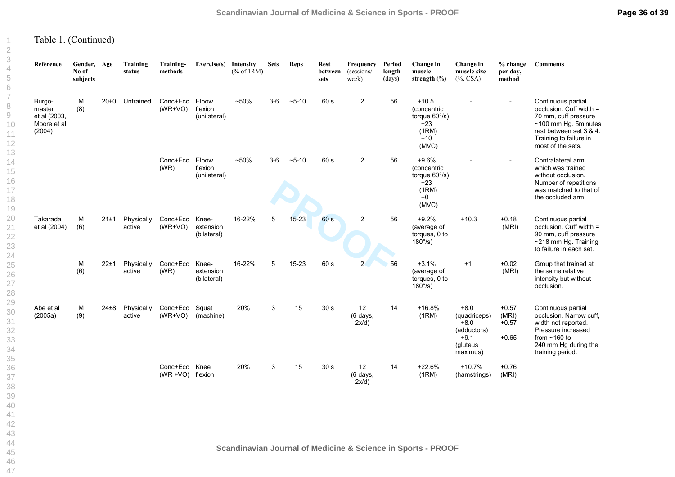Table 1. (Continued)

| Reference                                                 | Gender, Age<br>No of<br>subjects |          | Training<br>status   | Training-<br>methods              | Exercise(s)                       | Intensity<br>% of 1RM | <b>Sets</b> | <b>Reps</b> | Rest<br>between<br>sets | Frequency<br>(sessions/<br>week) | Period<br>length<br>(days) | Change in<br>muscle<br>strength $(\% )$                                               | Change in<br>muscle size<br>$(\%$ , CSA)                                          | $%$ change<br>per day,<br>method       | <b>Comments</b>                                                                                                                                                           |
|-----------------------------------------------------------|----------------------------------|----------|----------------------|-----------------------------------|-----------------------------------|-----------------------|-------------|-------------|-------------------------|----------------------------------|----------------------------|---------------------------------------------------------------------------------------|-----------------------------------------------------------------------------------|----------------------------------------|---------------------------------------------------------------------------------------------------------------------------------------------------------------------------|
| Burgo-<br>master<br>et al (2003,<br>Moore et al<br>(2004) | M<br>(8)                         | $20\pm0$ | Untrained            | Conc+Ecc<br>$(WR+VO)$             | Elbow<br>flexion<br>(unilateral)  | $~50\%$               | $3-6$       | $~5 - 10$   | 60 s                    | $\overline{c}$                   | 56                         | $+10.5$<br>(concentric<br>torque $60^{\circ}/s$ )<br>$+23$<br>(1RM)<br>$+10$<br>(MVC) |                                                                                   | $\overline{\phantom{0}}$               | Continuous partial<br>occlusion. Cuff width =<br>70 mm, cuff pressure<br>$~100$ mm Hg. 5minutes<br>rest between set 3 & 4.<br>Training to failure in<br>most of the sets. |
|                                                           |                                  |          |                      | Conc+Ecc<br>(WR)                  | Elbow<br>flexion<br>(unilateral)  | $~50\%$               | $3-6$       | $~5 - 10$   | 60 s                    | 2                                | 56                         | $+9.6%$<br>(concentric<br>torque 60°/s)<br>$+23$<br>(1RM)<br>$+0$<br>(MVC)            |                                                                                   |                                        | Contralateral arm<br>which was trained<br>without occlusion.<br>Number of repetitions<br>was matched to that of<br>the occluded arm.                                      |
| Takarada<br>et al (2004)                                  | м<br>(6)                         | 21±1     | Physically<br>active | Conc+Ecc<br>$(WR+VO)$             | Knee-<br>extension<br>(bilateral) | 16-22%                | 5           | $15 - 23$   | 60 s                    | $\overline{2}$                   | 56                         | $+9.2%$<br>(average of<br>torques, 0 to<br>$180^{\circ}/s$ )                          | $+10.3$                                                                           | $+0.18$<br>(MRI)                       | Continuous partial<br>occlusion. Cuff width =<br>90 mm, cuff pressure<br>~218 mm Hg. Training<br>to failure in each set.                                                  |
|                                                           | M<br>(6)                         | 22±1     | Physically<br>active | Conc+Ecc<br>(WR)                  | Knee-<br>extension<br>(bilateral) | 16-22%                | 5           | 15-23       | 60 s                    | $\overline{2}$                   | 56                         | $+3.1%$<br>(average of<br>torques, 0 to<br>$180^{\circ}/s$ )                          | $+1$                                                                              | $+0.02$<br>(MRI)                       | Group that trained at<br>the same relative<br>intensity but without<br>occlusion.                                                                                         |
| Abe et al<br>(2005a)                                      | M<br>(9)                         | $24\pm8$ | Physically<br>active | Conc+Ecc<br>$(WR+VO)$             | Squat<br>(machine)                | 20%                   | 3           | 15          | 30 <sub>s</sub>         | 12<br>(6 days,<br>2x/d)          | 14                         | $+16.8%$<br>(1RM)                                                                     | $+8.0$<br>(quadriceps)<br>$+8.0$<br>(adductors)<br>$+9.1$<br>(gluteus<br>maximus) | $+0.57$<br>(MRI)<br>$+0.57$<br>$+0.65$ | Continuous partial<br>occlusion. Narrow cuff,<br>width not reported.<br>Pressure increased<br>from $~160$ to<br>240 mm Hg during the<br>training period.                  |
|                                                           |                                  |          |                      | Conc+Ecc Knee<br>(WR +VO) flexion |                                   | 20%                   | 3           | 15          | 30 <sub>s</sub>         | 12<br>(6 days,<br>2x/d)          | 14                         | $+22.6%$<br>(1RM)                                                                     | $+10.7%$<br>(hamstrings)                                                          | $+0.76$<br>(MRI)                       |                                                                                                                                                                           |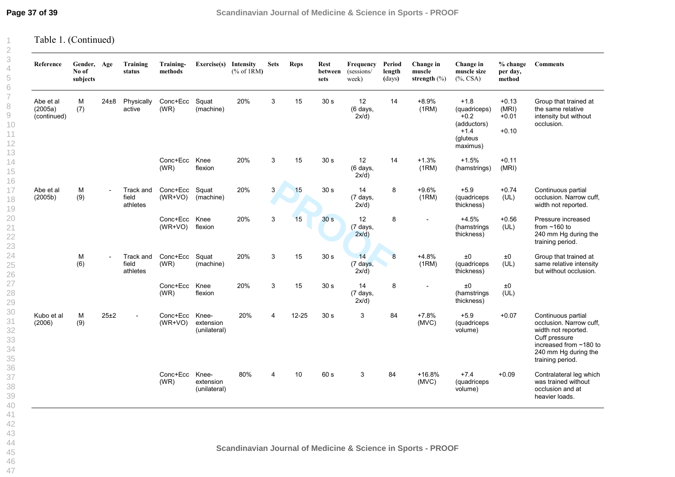Table 1. (Continued)

| Reference                           | Gender, Age<br>No of<br>subjects |                          | Training<br>status             | Training-<br>methods  | Exercise(s)                        | Intensity<br>% of 1RM | <b>Sets</b> | <b>Reps</b> | <b>Rest</b><br>between<br>sets | Frequency<br>(sessions/<br>week)     | Period<br>length<br>(days) | Change in<br>muscle<br>strength $(\%)$ | Change in<br>muscle size<br>$(\%$ , CSA)                                          | $%$ change<br>per day,<br>method       | <b>Comments</b>                                                                                                                                             |
|-------------------------------------|----------------------------------|--------------------------|--------------------------------|-----------------------|------------------------------------|-----------------------|-------------|-------------|--------------------------------|--------------------------------------|----------------------------|----------------------------------------|-----------------------------------------------------------------------------------|----------------------------------------|-------------------------------------------------------------------------------------------------------------------------------------------------------------|
| Abe et al<br>(2005a)<br>(continued) | M<br>(7)                         | $24\pm8$                 | Physically<br>active           | Conc+Ecc<br>(WR)      | Squat<br>(machine)                 | 20%                   | 3           | 15          | 30 <sub>s</sub>                | 12<br>(6 days,<br>2x/d)              | 14                         | $+8.9%$<br>(1RM)                       | $+1.8$<br>(quadriceps)<br>$+0.2$<br>(adductors)<br>$+1.4$<br>(gluteus<br>maximus) | $+0.13$<br>(MRI)<br>$+0.01$<br>$+0.10$ | Group that trained at<br>the same relative<br>intensity but without<br>occlusion.                                                                           |
|                                     |                                  |                          |                                | Conc+Ecc<br>(WR)      | Knee<br>flexion                    | 20%                   | 3           | 15          | 30 <sub>s</sub>                | 12<br>(6 days,<br>$2x/d$ )           | 14                         | $+1.3%$<br>(1RM)                       | $+1.5%$<br>(hamstrings)                                                           | $+0.11$<br>(MRI)                       |                                                                                                                                                             |
| Abe et al<br>(2005b)                | М<br>(9)                         | $\overline{\phantom{a}}$ | Track and<br>field<br>athletes | Conc+Ecc<br>$(WR+VO)$ | Squat<br>(machine)                 | 20%                   | 3           | 15          | 30 <sub>s</sub>                | 14<br>$(7 \text{ days},$<br>$2x/d$ ) | 8                          | $+9.6%$<br>(1RM)                       | $+5.9$<br>(quadriceps<br>thickness)                                               | $+0.74$<br>(UL)                        | Continuous partial<br>occlusion. Narrow cuff,<br>width not reported.                                                                                        |
|                                     |                                  |                          |                                | Conc+Ecc<br>$(WR+VO)$ | Knee<br>flexion                    | 20%                   | 3           | 15          | 30 <sub>s</sub>                | 12<br>(7 days,<br>2x/d)              | 8                          |                                        | $+4.5%$<br>(hamstrings<br>thickness)                                              | $+0.56$<br>(UL)                        | Pressure increased<br>from $~160$ to<br>240 mm Hg during the<br>training period.                                                                            |
|                                     | M<br>(6)                         | $\overline{a}$           | Track and<br>field<br>athletes | Conc+Ecc<br>(WR)      | Squat<br>(machine)                 | 20%                   | 3           | 15          | 30 <sub>s</sub>                | 14<br>(7 days,<br>2x/d)              | $\overline{8}$             | $+4.8%$<br>(1RM)                       | ±0<br>(quadriceps<br>thickness)                                                   | ±0<br>(UL)                             | Group that trained at<br>same relative intensity<br>but without occlusion.                                                                                  |
|                                     |                                  |                          |                                | Conc+Ecc<br>(WR)      | Knee<br>flexion                    | 20%                   | 3           | 15          | 30 <sub>s</sub>                | 14<br>(7 days,<br>2x/d)              | 8                          |                                        | ±0<br>(hamstrings<br>thickness)                                                   | ±0<br>(UL)                             |                                                                                                                                                             |
| Kubo et al<br>(2006)                | M<br>(9)                         | 25±2                     |                                | Conc+Ecc<br>$(WR+VO)$ | Knee-<br>extension<br>(unilateral) | 20%                   | 4           | $12 - 25$   | 30 <sub>s</sub>                | 3                                    | 84                         | $+7.8%$<br>(MVC)                       | $+5.9$<br>(quadriceps<br>volume)                                                  | $+0.07$                                | Continuous partial<br>occlusion. Narrow cuff,<br>width not reported.<br>Cuff pressure<br>increased from ~180 to<br>240 mm Hg during the<br>training period. |
|                                     |                                  |                          |                                | Conc+Ecc<br>(WR)      | Knee-<br>extension<br>(unilateral) | 80%                   | 4           | 10          | 60 s                           | 3                                    | 84                         | $+16.8%$<br>(MVC)                      | $+7.4$<br>(quadriceps<br>volume)                                                  | $+0.09$                                | Contralateral leg which<br>was trained without<br>occlusion and at<br>heavier loads.                                                                        |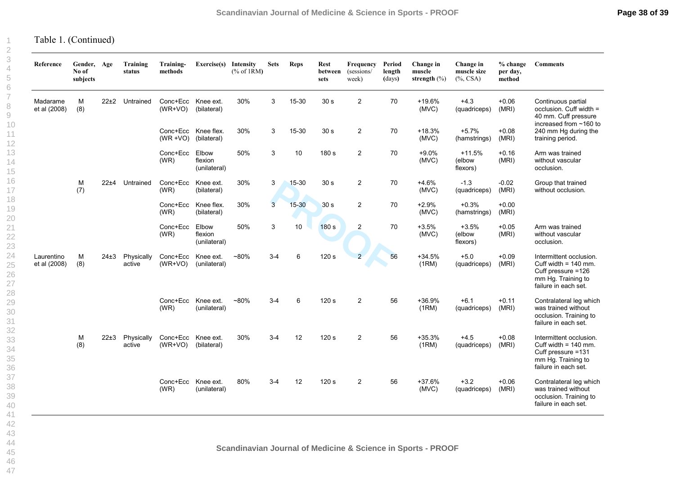| No of<br>subjects | Gender, Age | Training<br>status   | Training-<br>methods  | Exercise(s) Intensity            | % of 1RM                                                                                  | <b>Sets</b>    | Reps      | <b>Rest</b><br>between<br>sets | Frequency<br>(sessions/<br>week) | Period<br>length<br>(days) | Change in<br>muscle<br>strength $(\%)$ | Change in<br>muscle size<br>$(\%$ , CSA) | % change<br>per day,<br>method | <b>Comments</b>                                                                                                       |
|-------------------|-------------|----------------------|-----------------------|----------------------------------|-------------------------------------------------------------------------------------------|----------------|-----------|--------------------------------|----------------------------------|----------------------------|----------------------------------------|------------------------------------------|--------------------------------|-----------------------------------------------------------------------------------------------------------------------|
| M<br>(8)          |             | Untrained            | $(WR+VO)$             | (bilateral)                      | 30%                                                                                       | 3              | 15-30     | 30 <sub>s</sub>                | $\overline{a}$                   | 70                         | +19.6%<br>(MVC)                        | $+4.3$<br>(quadriceps)                   | $+0.06$<br>(MRI)               | Continuous partial<br>occlusion. Cuff width =<br>40 mm. Cuff pressure<br>increased from ~160 to                       |
|                   |             |                      |                       |                                  | 30%                                                                                       | 3              | 15-30     | 30 <sub>s</sub>                | $\overline{c}$                   | 70                         | $+18.3%$<br>(MVC)                      | $+5.7%$<br>(hamstrings)                  | $+0.08$<br>(MRI)               | 240 mm Hg during the<br>training period.                                                                              |
|                   |             |                      | Conc+Ecc<br>(WR)      | Elbow<br>flexion<br>(unilateral) | 50%                                                                                       | 3              | 10        | 180 s                          | 2                                | 70                         | $+9.0%$<br>(MVC)                       | $+11.5%$<br>(elbow<br>flexors)           | $+0.16$<br>(MRI)               | Arm was trained<br>without vascular<br>occlusion.                                                                     |
| M<br>(7)          |             | Untrained            | Conc+Ecc<br>(WR)      | Knee ext.<br>(bilateral)         | 30%                                                                                       | 3              | $15 - 30$ | 30 <sub>s</sub>                | $\overline{c}$                   | 70                         | $+4.6%$<br>(MVC)                       | $-1.3$<br>(quadriceps)                   | $-0.02$<br>(MRI)               | Group that trained<br>without occlusion.                                                                              |
|                   |             |                      | (WR)                  | Knee flex.<br>(bilateral)        | 30%                                                                                       | $\overline{3}$ | $15 - 30$ | 30 <sub>s</sub>                | $\overline{2}$                   | 70                         | $+2.9%$<br>(MVC)                       | $+0.3%$<br>(hamstrings)                  | $+0.00$<br>(MRI)               |                                                                                                                       |
|                   |             |                      | Conc+Ecc<br>(WR)      | Elbow<br>flexion<br>(unilateral) | 50%                                                                                       | $\mathbf{3}$   | 10        | 180 s                          | $\overline{2}$                   | 70                         | $+3.5%$<br>(MVC)                       | $+3.5%$<br>(elbow<br>flexors)            | $+0.05$<br>(MRI)               | Arm was trained<br>without vascular<br>occlusion.                                                                     |
| M<br>(8)          | $24\pm3$    | Physically<br>active | Conc+Ecc<br>$(WR+VO)$ | Knee ext.<br>(unilateral)        | $~180\%$                                                                                  | $3 - 4$        | 6         | 120 s                          | $\overline{2}$                   | 56                         | $+34.5%$<br>(1RM)                      | $+5.0$<br>(quadriceps)                   | $+0.09$<br>(MRI)               | Intermittent occlusion.<br>Cuff width = $140$ mm.<br>Cuff pressure =126<br>mm Hg. Training to<br>failure in each set. |
|                   |             |                      | Conc+Ecc<br>(WR)      | Knee ext.<br>(unilateral)        | $-80%$                                                                                    | $3 - 4$        | 6         | 120 s                          | $\overline{2}$                   | 56                         | +36.9%<br>(1RM)                        | $+6.1$<br>(quadriceps)                   | $+0.11$<br>(MRI)               | Contralateral leg which<br>was trained without<br>occlusion. Training to<br>failure in each set.                      |
| M<br>(8)          | 22±3        | Physically<br>active | (WR+VO)               | Knee ext.<br>(bilateral)         | 30%                                                                                       | $3 - 4$        | 12        | 120 <sub>s</sub>               | 2                                | 56                         | $+35.3%$<br>(1RM)                      | $+4.5$<br>(quadriceps)                   | $+0.08$<br>(MRI)               | Intermittent occlusion.<br>Cuff width = $140$ mm.<br>Cuff pressure =131<br>mm Hg. Training to<br>failure in each set. |
|                   |             |                      | Conc+Ecc<br>(WR)      | Knee ext.<br>(unilateral)        | 80%                                                                                       | $3 - 4$        | 12        | 120 s                          | 2                                | 56                         | $+37.6%$<br>(MVC)                      | $+3.2$<br>(quadriceps)                   | $+0.06$<br>(MRI)               | Contralateral leg which<br>was trained without<br>occlusion. Training to<br>failure in each set.                      |
|                   |             |                      | $22\pm2$<br>$22 + 4$  |                                  | Conc+Ecc Knee ext.<br>Conc+Ecc Knee flex.<br>(WR +VO) (bilateral)<br>Conc+Ecc<br>Conc+Ecc |                |           |                                |                                  |                            |                                        |                                          |                                |                                                                                                                       |